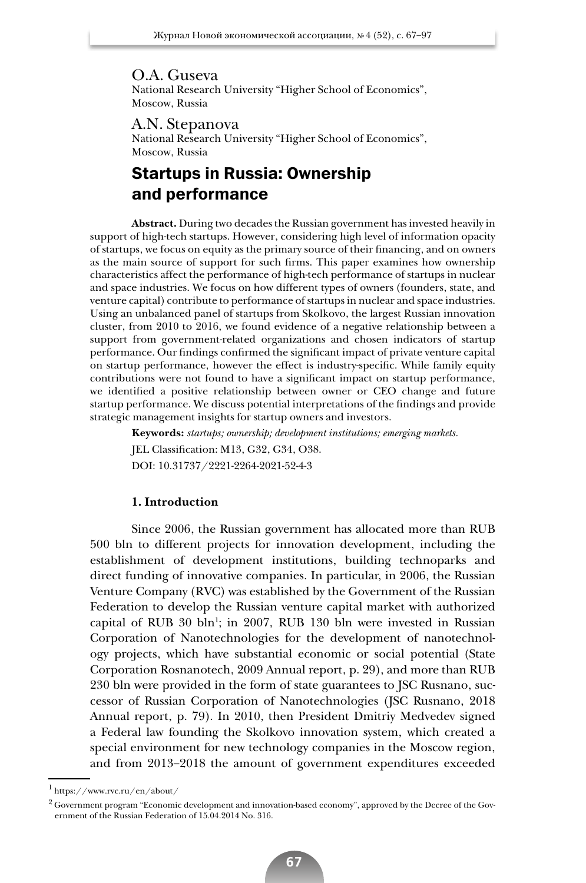O.A. Guseva National Research University "Higher School of Economics", Moscow, Russia

A.N. Stepanova National Research University "Higher School of Economics", Moscow, Russia

# Startups in Russia: Ownership and performance

**Abstract.** During two decades the Russian government has invested heavily in support of high-tech startups. However, considering high level of information opacity of startups, we focus on equity as the primary source of their financing, and on owners as the main source of support for such firms. This paper examines how ownership characteristics affect the performance of high-tech performance of startups in nuclear and space industries. We focus on how different types of owners (founders, state, and venture capital) contribute to performance of startups in nuclear and space industries. Using an unbalanced panel of startups from Skolkovo, the largest Russian innovation cluster, from 2010 to 2016, we found evidence of a negative relationship between a support from government-related organizations and chosen indicators of startup performance. Our findings confirmed the significant impact of private venture capital on startup performance, however the effect is industry-specific. While family equity contributions were not found to have a significant impact on startup performance, we identified a positive relationship between owner or CEO change and future startup performance. We discuss potential interpretations of the findings and provide strategic management insights for startup owners and investors.

**Keywords:** *startups; ownership; development institutions; emerging markets.*  JEL Classification: M13, G32, G34, O38. DOI: 10.31737/2221-2264-2021-52-4-3

## **1. Introduction**

Since 2006, the Russian government has allocated more than RUB 500 bln to different projects for innovation development, including the establishment of development institutions, building technoparks and direct funding of innovative companies. In particular, in 2006, the Russian Venture Company (RVC) was established by the Government of the Russian Federation to develop the Russian venture capital market with authorized capital of RUB  $30$  bln<sup>1</sup>; in  $2007$ , RUB 130 bln were invested in Russian Corporation of Nanotechnologies for the development of nanotechnology projects, which have substantial economic or social potential (State Corporation Rosnanotech, 2009 Annual report, p. 29), and more than RUB 230 bln were provided in the form of state guarantees to JSC Rusnano, successor of Russian Corporation of Nanotechnologies (JSC Rusnano, 2018 Annual report, p. 79). In 2010, then President Dmitriy Medvedev signed a Federal law founding the Skolkovo innovation system, which created a special environment for new technology companies in the Moscow region, and from 2013–2018 the amount of government expenditures exceeded

<sup>1</sup> https://www.rvc.ru/en/about/

 $^2$  Government program "Economic development and innovation-based economy", approved by the Decree of the Government of the Russian Federation of 15.04.2014 No. 316.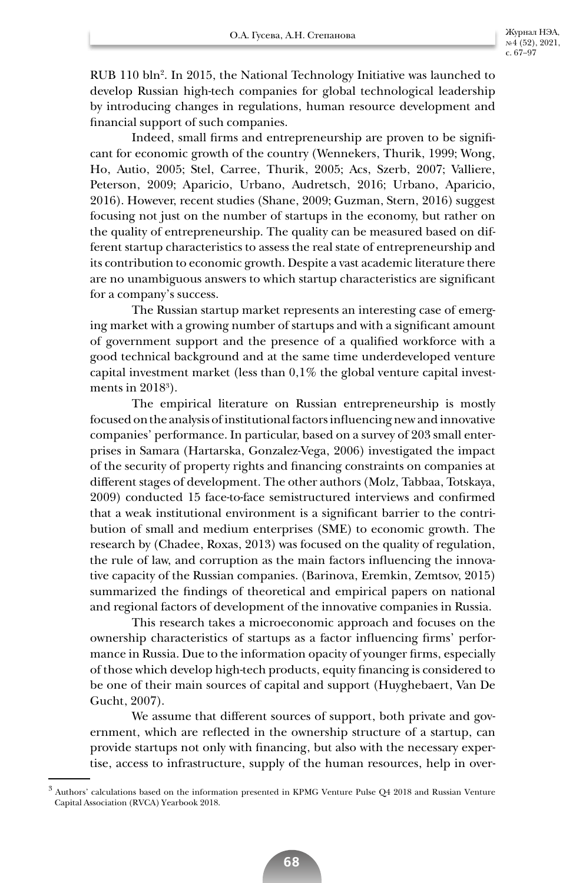RUB 110 bln2 . In 2015, the National Technology Initiative was launched to develop Russian high-tech companies for global technological leadership by introducing changes in regulations, human resource development and financial support of such companies.

Indeed, small firms and entrepreneurship are proven to be significant for economic growth of the country (Wennekers, Thurik, 1999; Wong, Ho, Autio, 2005; Stel, Carree, Thurik, 2005; Acs, Szerb, 2007; Valliere, Peterson, 2009; Aparicio, Urbano, Audretsch, 2016; Urbano, Aparicio, 2016). However, recent studies (Shane, 2009; Guzman, Stern, 2016) suggest focusing not just on the number of startups in the economy, but rather on the quality of entrepreneurship. The quality can be measured based on different startup characteristics to assess the real state of entrepreneurship and its contribution to economic growth. Despite a vast academic literature there are no unambiguous answers to which startup characteristics are significant for a company's success.

The Russian startup market represents an interesting case of emerging market with a growing number of startups and with a significant amount of government support and the presence of a qualified workforce with a good technical background and at the same time underdeveloped venture capital investment market (less than 0,1% the global venture capital investments in  $2018^3$ ).

The empirical literature on Russian entrepreneurship is mostly focused on the analysis of institutional factors influencing new and innovative companies' performance. In particular, based on a survey of 203 small enterprises in Samara (Hartarska, Gonzalez-Vega, 2006) investigated the impact of the security of property rights and financing constraints on companies at different stages of development. The other authors (Molz, Tabbaa, Totskaya, 2009) conducted 15 face-to-face semistructured interviews and confirmed that a weak institutional environment is a significant barrier to the contribution of small and medium enterprises (SME) to economic growth. The research by (Chadee, Roxas, 2013) was focused on the quality of regulation, the rule of law, and corruption as the main factors influencing the innovative capacity of the Russian companies. (Barinova, Eremkin, Zemtsov, 2015) summarized the findings of theoretical and empirical papers on national and regional factors of development of the innovative companies in Russia.

This research takes a microeconomic approach and focuses on the ownership characteristics of startups as a factor influencing firms' performance in Russia. Due to the information opacity of younger firms, especially of those which develop high-tech products, equity financing is considered to be one of their main sources of capital and support (Huyghebaert, Van De Gucht, 2007).

We assume that different sources of support, both private and government, which are reflected in the ownership structure of a startup, can provide startups not only with financing, but also with the necessary expertise, access to infrastructure, supply of the human resources, help in over-

<sup>3</sup> Authors' calculations based on the information presented in KPMG Venture Pulse Q4 2018 and Russian Venture Capital Association (RVCA) Yearbook 2018.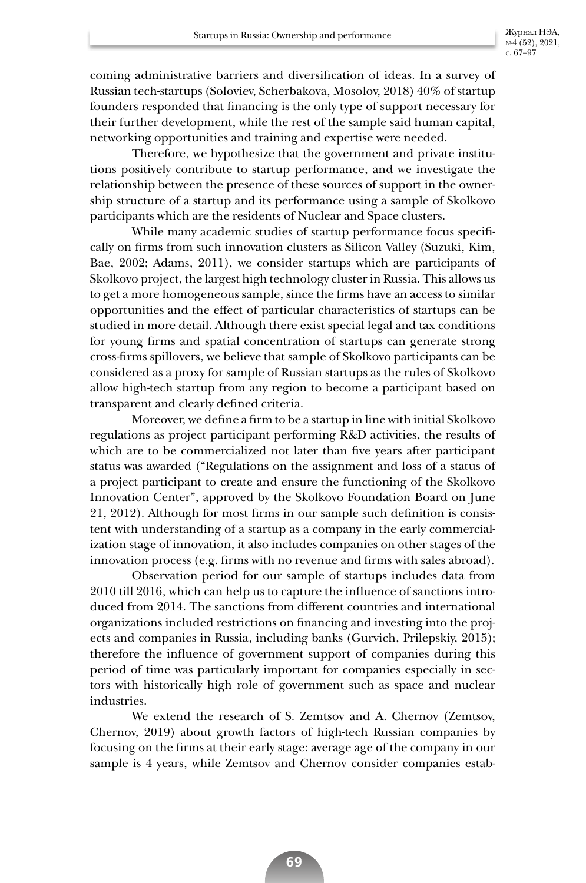coming administrative barriers and diversification of ideas. In a survey of Russian tech-startups (Soloviev, Scherbakova, Mosolov, 2018) 40% of startup founders responded that financing is the only type of support necessary for their further development, while the rest of the sample said human capital, networking opportunities and training and expertise were needed.

Therefore, we hypothesize that the government and private institutions positively contribute to startup performance, and we investigate the relationship between the presence of these sources of support in the ownership structure of a startup and its performance using a sample of Skolkovo participants which are the residents of Nuclear and Space clusters.

While many academic studies of startup performance focus specifically on firms from such innovation clusters as Silicon Valley (Suzuki, Kim, Bae, 2002; Adams, 2011), we consider startups which are participants of Skolkovo project, the largest high technology cluster in Russia. This allows us to get a more homogeneous sample, since the firms have an access to similar opportunities and the effect of particular characteristics of startups can be studied in more detail. Although there exist special legal and tax conditions for young firms and spatial concentration of startups can generate strong cross-firms spillovers, we believe that sample of Skolkovo participants can be considered as a proxy for sample of Russian startups as the rules of Skolkovo allow high-tech startup from any region to become a participant based on transparent and clearly defined criteria.

Moreover, we define a firm to be a startup in line with initial Skolkovo regulations as project participant performing R&D activities, the results of which are to be commercialized not later than five years after participant status was awarded ("Regulations on the assignment and loss of a status of a project participant to create and ensure the functioning of the Skolkovo Innovation Center", approved by the Skolkovo Foundation Board on June 21, 2012). Although for most firms in our sample such definition is consistent with understanding of a startup as a company in the early commercialization stage of innovation, it also includes companies on other stages of the innovation process (e.g. firms with no revenue and firms with sales abroad).

Observation period for our sample of startups includes data from 2010 till 2016, which can help us to capture the influence of sanctions introduced from 2014. The sanctions from different countries and international organizations included restrictions on financing and investing into the projects and companies in Russia, including banks (Gurvich, Prilepskiy, 2015); therefore the influence of government support of companies during this period of time was particularly important for companies especially in sectors with historically high role of government such as space and nuclear industries.

We extend the research of S. Zemtsov and A. Chernov (Zemtsov, Chernov, 2019) about growth factors of high-tech Russian companies by focusing on the firms at their early stage: average age of the company in our sample is 4 years, while Zemtsov and Chernov consider companies estab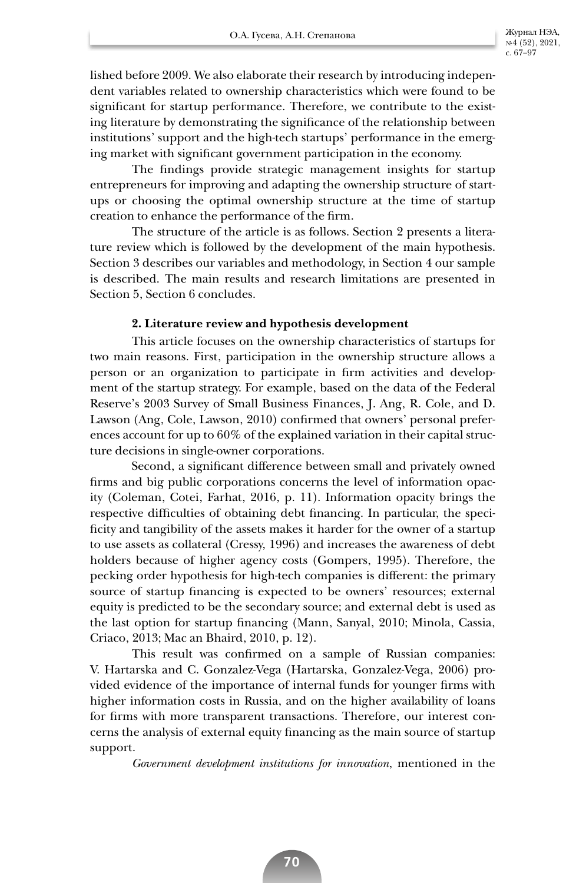lished before 2009. We also elaborate their research by introducing independent variables related to ownership characteristics which were found to be significant for startup performance. Therefore, we contribute to the existing literature by demonstrating the significance of the relationship between institutions' support and the high-tech startups' performance in the emerging market with significant government participation in the economy.

The findings provide strategic management insights for startup entrepreneurs for improving and adapting the ownership structure of startups or choosing the optimal ownership structure at the time of startup creation to enhance the performance of the firm.

The structure of the article is as follows. Section 2 presents a literature review which is followed by the development of the main hypothesis. Section 3 describes our variables and methodology, in Section 4 our sample is described. The main results and research limitations are presented in Section 5, Section 6 concludes.

## **2. Literature review and hypothesis development**

This article focuses on the ownership characteristics of startups for two main reasons. First, participation in the ownership structure allows a person or an organization to participate in firm activities and development of the startup strategy. For example, based on the data of the Federal Reserve's 2003 Survey of Small Business Finances, J. Ang, R. Cole, and D. Lawson (Ang, Cole, Lawson, 2010) confirmed that owners' personal preferences account for up to 60% of the explained variation in their capital structure decisions in single-owner corporations.

Second, a significant difference between small and privately owned firms and big public corporations concerns the level of information opacity (Coleman, Cotei, Farhat, 2016, p. 11). Information opacity brings the respective difficulties of obtaining debt financing. In particular, the specificity and tangibility of the assets makes it harder for the owner of a startup to use assets as collateral (Cressy, 1996) and increases the awareness of debt holders because of higher agency costs (Gompers, 1995). Therefore, the pecking order hypothesis for high-tech companies is different: the primary source of startup financing is expected to be owners' resources; external equity is predicted to be the secondary source; and external debt is used as the last option for startup financing (Mann, Sanyal, 2010; Minola, Cassia, Criaco, 2013; Mac an Bhaird, 2010, p. 12).

This result was confirmed on a sample of Russian companies: V. Hartarska and C. Gonzalez-Vega (Hartarska, Gonzalez-Vega, 2006) provided evidence of the importance of internal funds for younger firms with higher information costs in Russia, and on the higher availability of loans for firms with more transparent transactions. Therefore, our interest concerns the analysis of external equity financing as the main source of startup support.

*Government development institutions for innovation*, mentioned in the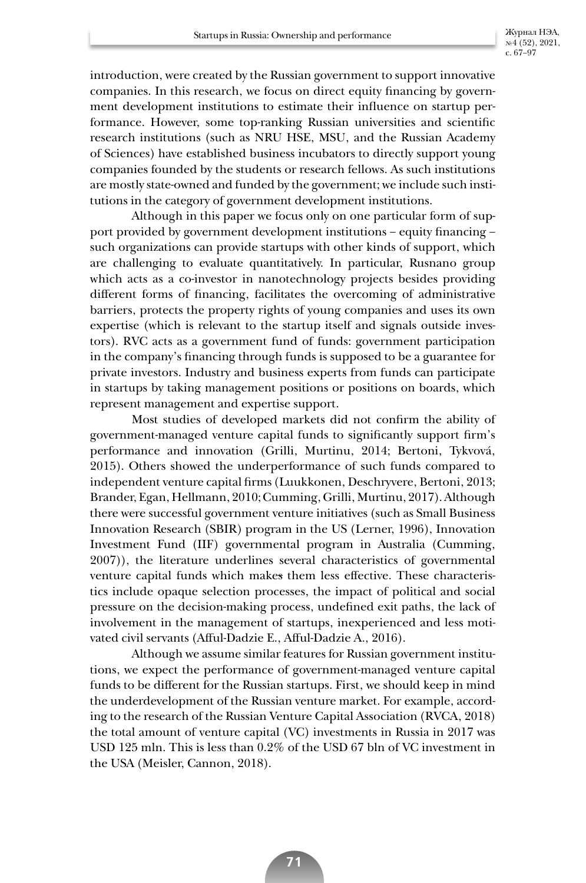introduction, were created by the Russian government to support innovative companies. In this research, we focus on direct equity financing by government development institutions to estimate their influence on startup performance. However, some top-ranking Russian universities and scientific research institutions (such as NRU HSE, MSU, and the Russian Academy of Sciences) have established business incubators to directly support young companies founded by the students or research fellows. As such institutions are mostly state-owned and funded by the government; we include such institutions in the category of government development institutions.

Although in this paper we focus only on one particular form of support provided by government development institutions – equity financing – such organizations can provide startups with other kinds of support, which are challenging to evaluate quantitatively. In particular, Rusnano group which acts as a co-investor in nanotechnology projects besides providing different forms of financing, facilitates the overcoming of administrative barriers, protects the property rights of young companies and uses its own expertise (which is relevant to the startup itself and signals outside investors). RVC acts as a government fund of funds: government participation in the company's financing through funds is supposed to be a guarantee for private investors. Industry and business experts from funds can participate in startups by taking management positions or positions on boards, which represent management and expertise support.

Most studies of developed markets did not confirm the ability of government-managed venture capital funds to significantly support firm's performance and innovation (Grilli, Murtinu, 2014; Bertoni, Tykvová, 2015). Others showed the underperformance of such funds compared to independent venture capital firms (Luukkonen, Deschryvere, Bertoni, 2013; Brander, Egan, Hellmann, 2010; Cumming, Grilli, Murtinu, 2017). Although there were successful government venture initiatives (such as Small Business Innovation Research (SBIR) program in the US (Lerner, 1996), Innovation Investment Fund (IIF) governmental program in Australia (Cumming, 2007)), the literature underlines several characteristics of governmental venture capital funds which makes them less effective. These characteristics include opaque selection processes, the impact of political and social pressure on the decision-making process, undefined exit paths, the lack of involvement in the management of startups, inexperienced and less motivated civil servants (Afful-Dadzie E., Afful-Dadzie A., 2016).

Although we assume similar features for Russian government institutions, we expect the performance of government-managed venture capital funds to be different for the Russian startups. First, we should keep in mind the underdevelopment of the Russian venture market. For example, according to the research of the Russian Venture Capital Association (RVCA, 2018) the total amount of venture capital (VC) investments in Russia in 2017 was USD 125 mln. This is less than 0.2% of the USD 67 bln of VC investment in the USA (Meisler, Cannon, 2018).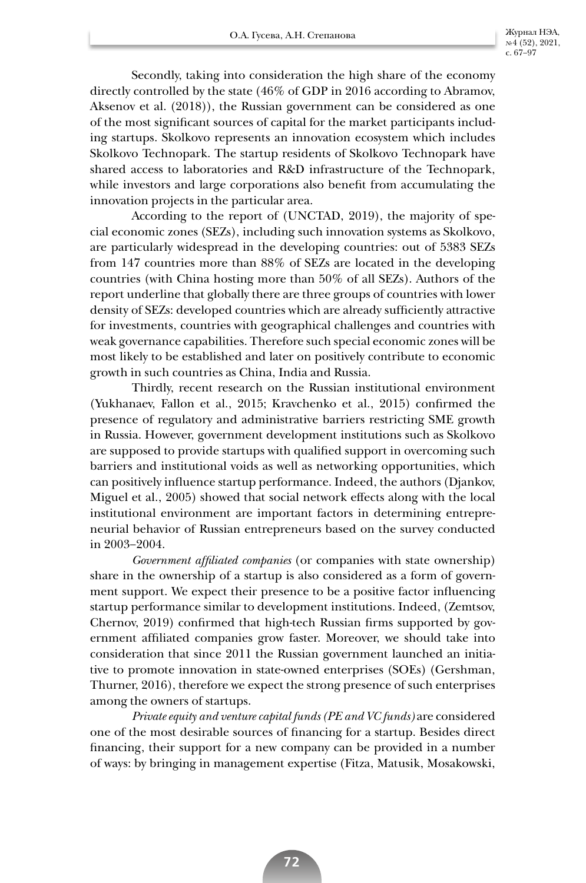Secondly, taking into consideration the high share of the economy directly controlled by the state (46% of GDP in 2016 according to Abramov, Aksenov et al. (2018)), the Russian government can be considered as one of the most significant sources of capital for the market participants including startups. Skolkovo represents an innovation ecosystem which includes Skolkovo Technopark. The startup residents of Skolkovo Technopark have shared access to laboratories and R&D infrastructure of the Technopark, while investors and large corporations also benefit from accumulating the innovation projects in the particular area.

According to the report of (UNCTAD, 2019), the majority of special economic zones (SEZs), including such innovation systems as Skolkovo, are particularly widespread in the developing countries: out of 5383 SEZs from 147 countries more than 88% of SEZs are located in the developing countries (with China hosting more than 50% of all SEZs). Authors of the report underline that globally there are three groups of countries with lower density of SEZs: developed countries which are already sufficiently attractive for investments, countries with geographical challenges and countries with weak governance capabilities. Therefore such special economic zones will be most likely to be established and later on positively contribute to economic growth in such countries as China, India and Russia.

Thirdly, recent research on the Russian institutional environment (Yukhanaev, Fallon et al., 2015; Kravchenko et al., 2015) confirmed the presence of regulatory and administrative barriers restricting SME growth in Russia. However, government development institutions such as Skolkovo are supposed to provide startups with qualified support in overcoming such barriers and institutional voids as well as networking opportunities, which can positively influence startup performance. Indeed, the authors (Djankov, Miguel et al., 2005) showed that social network effects along with the local institutional environment are important factors in determining entrepreneurial behavior of Russian entrepreneurs based on the survey conducted in 2003–2004.

*Government affiliated companies* (or companies with state ownership) share in the ownership of a startup is also considered as a form of government support. We expect their presence to be a positive factor influencing startup performance similar to development institutions. Indeed, (Zemtsov, Chernov, 2019) confirmed that high-tech Russian firms supported by government affiliated companies grow faster. Moreover, we should take into consideration that since 2011 the Russian government launched an initiative to promote innovation in state-owned enterprises (SOEs) (Gershman, Thurner, 2016), therefore we expect the strong presence of such enterprises among the owners of startups.

*Private equity and venture capital funds (PE and VC funds)* are considered one of the most desirable sources of financing for a startup. Besides direct financing, their support for a new company can be provided in a number of ways: by bringing in management expertise (Fitza, Matusik, Mosakowski,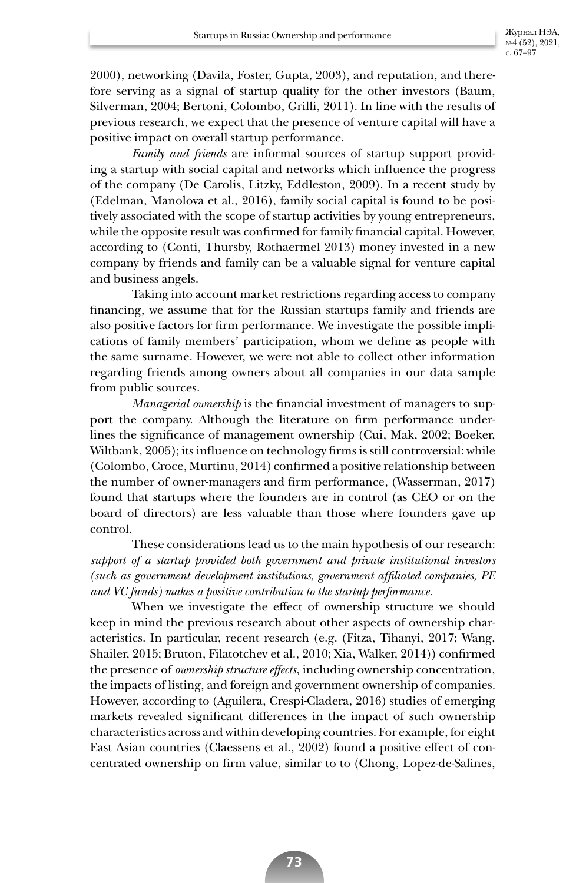2000), networking (Davila, Foster, Gupta, 2003), and reputation, and therefore serving as a signal of startup quality for the other investors (Baum, Silverman, 2004; Bertoni, Colombo, Grilli, 2011). In line with the results of previous research, we expect that the presence of venture capital will have a positive impact on overall startup performance.

*Family and friends* are informal sources of startup support providing a startup with social capital and networks which influence the progress of the company (De Carolis, Litzky, Eddleston, 2009). In a recent study by (Edelman, Manolova et al., 2016), family social capital is found to be positively associated with the scope of startup activities by young entrepreneurs, while the opposite result was confirmed for family financial capital. However, according to (Conti, Thursby, Rothaermel 2013) money invested in a new company by friends and family can be a valuable signal for venture capital and business angels.

Taking into account market restrictions regarding access to company financing, we assume that for the Russian startups family and friends are also positive factors for firm performance. We investigate the possible implications of family members' participation, whom we define as people with the same surname. However, we were not able to collect other information regarding friends among owners about all companies in our data sample from public sources.

*Managerial ownership* is the financial investment of managers to support the company. Although the literature on firm performance underlines the significance of management ownership (Cui, Mak, 2002; Boeker, Wiltbank, 2005); its influence on technology firms is still controversial: while (Colombo, Croce, Murtinu, 2014) confirmed a positive relationship between the number of owner-managers and firm performance, (Wasserman, 2017) found that startups where the founders are in control (as CEO or on the board of directors) are less valuable than those where founders gave up control.

These considerations lead us to the main hypothesis of our research: *support of a startup provided both government and private institutional investors (such as government development institutions, government affiliated companies, PE and VC funds) makes a positive contribution to the startup performance.* 

When we investigate the effect of ownership structure we should keep in mind the previous research about other aspects of ownership characteristics. In particular, recent research (e.g. (Fitza, Tihanyi, 2017; Wang, Shailer, 2015; Bruton, Filatotchev et al., 2010; Xia, Walker, 2014)) confirmed the presence of *ownership structure effects*, including ownership concentration, the impacts of listing, and foreign and government ownership of companies. However, according to (Aguilera, Crespi-Cladera, 2016) studies of emerging markets revealed significant differences in the impact of such ownership characteristics across and within developing countries. For example, for eight East Asian countries (Claessens et al., 2002) found a positive effect of concentrated ownership on firm value, similar to to (Chong, Lopez-de-Salines,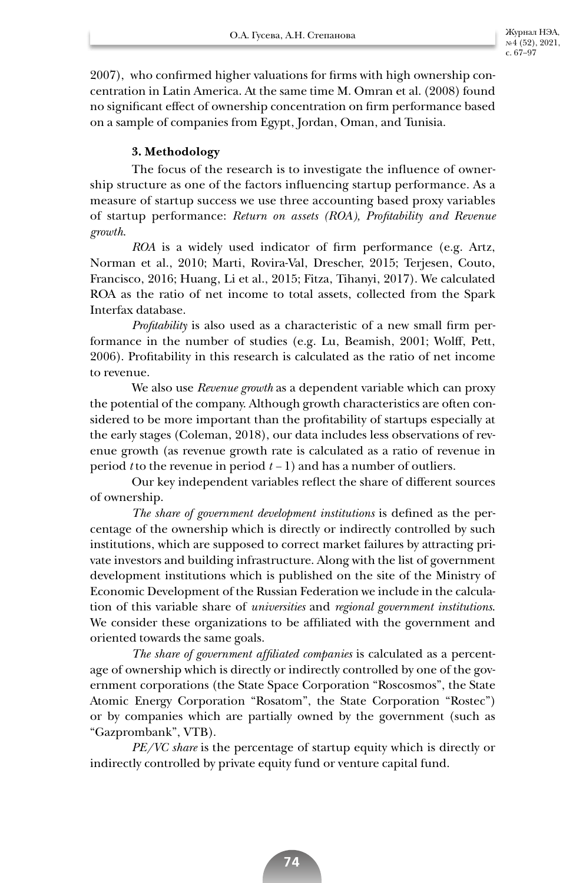2007), who confirmed higher valuations for firms with high ownership concentration in Latin America. At the same time M. Omran et al. (2008) found no significant effect of ownership concentration on firm performance based on a sample of companies from Egypt, Jordan, Oman, and Tunisia.

# **3. Methodology**

The focus of the research is to investigate the influence of ownership structure as one of the factors influencing startup performance. As a measure of startup success we use three accounting based proxy variables of startup performance: *Return on assets (ROA), Profitability and Revenue growth*.

*ROA* is a widely used indicator of firm performance (e.g. Artz, Norman et al., 2010; Marti, Rovira-Val, Drescher, 2015; Terjesen, Couto, Francisco, 2016; Huang, Li et al., 2015; Fitza, Tihanyi, 2017). We calculated ROA as the ratio of net income to total assets, collected from the Spark Interfax database.

*Profitability* is also used as a characteristic of a new small firm performance in the number of studies (e.g. Lu, Beamish, 2001; Wolff, Pett, 2006). Profitability in this research is calculated as the ratio of net income to revenue.

We also use *Revenue growth* as a dependent variable which can proxy the potential of the company. Although growth characteristics are often considered to be more important than the profitability of startups especially at the early stages (Coleman, 2018), our data includes less observations of revenue growth (as revenue growth rate is calculated as a ratio of revenue in period *t* to the revenue in period *t –* 1) and has a number of outliers.

Our key independent variables reflect the share of different sources of ownership.

*The share of government development institutions* is defined as the percentage of the ownership which is directly or indirectly controlled by such institutions, which are supposed to correct market failures by attracting private investors and building infrastructure. Along with the list of government development institutions which is published on the site of the Ministry of Economic Development of the Russian Federation we include in the calculation of this variable share of *universities* and *regional government institutions*. We consider these organizations to be affiliated with the government and oriented towards the same goals.

*The share of government affiliated companies* is calculated as a percentage of ownership which is directly or indirectly controlled by one of the government corporations (the State Space Corporation "Roscosmos", the State Atomic Energy Corporation "Rosatom", the State Corporation "Rostec") or by companies which are partially owned by the government (such as "Gazprombank", VTB).

*PE/VC share* is the percentage of startup equity which is directly or indirectly controlled by private equity fund or venture capital fund.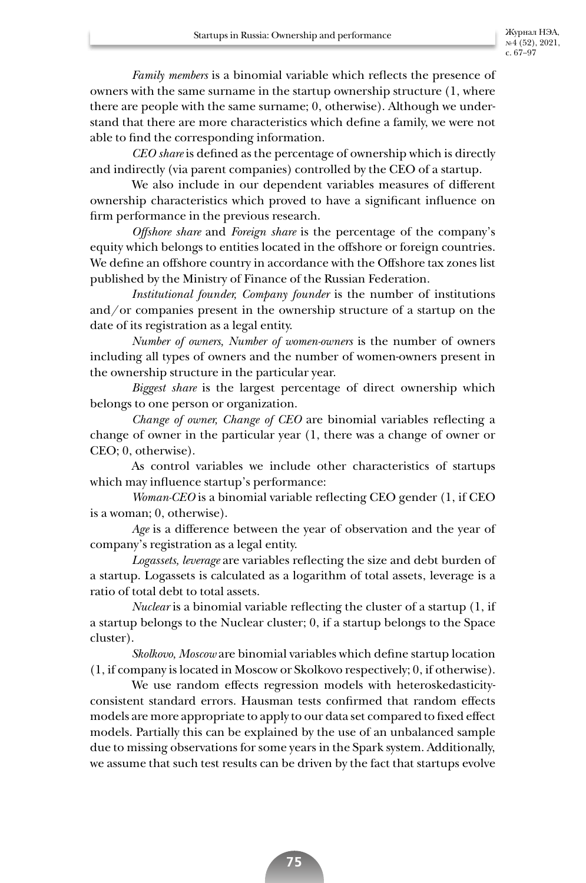*Family members* is a binomial variable which reflects the presence of owners with the same surname in the startup ownership structure (1, where there are people with the same surname; 0, otherwise). Although we understand that there are more characteristics which define a family, we were not able to find the corresponding information.

*CEO share* is defined as the percentage of ownership which is directly and indirectly (via parent companies) controlled by the CEO of a startup.

We also include in our dependent variables measures of different ownership characteristics which proved to have a significant influence on firm performance in the previous research.

*Offshore share* and *Foreign share* is the percentage of the company's equity which belongs to entities located in the offshore or foreign countries. We define an offshore country in accordance with the Offshore tax zones list published by the Ministry of Finance of the Russian Federation.

*Institutional founder, Company founder* is the number of institutions and/or companies present in the ownership structure of a startup on the date of its registration as a legal entity.

*Number of owners, Number of women-owners* is the number of owners including all types of owners and the number of women-owners present in the ownership structure in the particular year.

*Biggest share* is the largest percentage of direct ownership which belongs to one person or organization.

*Change of owner, Change of CEO* are binomial variables reflecting a change of owner in the particular year (1, there was a change of owner or CEO; 0, otherwise).

As control variables we include other characteristics of startups which may influence startup's performance:

*Woman-CEO* is a binomial variable reflecting CEO gender (1, if CEO is a woman; 0, otherwise).

*Age* is a difference between the year of observation and the year of company's registration as a legal entity.

*Logassets, leverage* are variables reflecting the size and debt burden of a startup. Logassets is calculated as a logarithm of total assets, leverage is a ratio of total debt to total assets.

*Nuclear* is a binomial variable reflecting the cluster of a startup (1, if a startup belongs to the Nuclear cluster; 0, if a startup belongs to the Space cluster).

*Skolkovo, Moscow* are binomial variables which define startup location (1, if company is located in Moscow or Skolkovo respectively; 0, if otherwise).

We use random effects regression models with heteroskedasticityconsistent standard errors. Hausman tests confirmed that random effects models are more appropriate to apply to our data set compared to fixed effect models. Partially this can be explained by the use of an unbalanced sample due to missing observations for some years in the Spark system. Additionally, we assume that such test results can be driven by the fact that startups evolve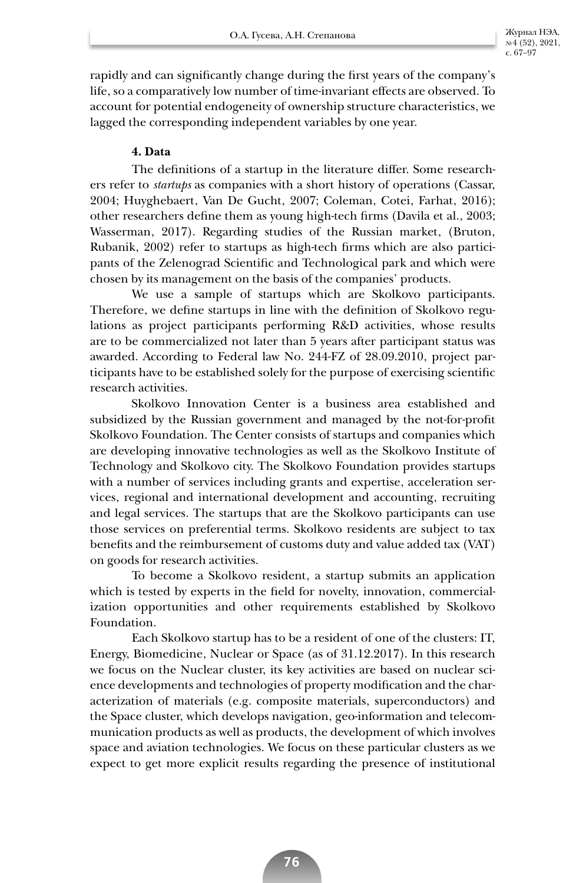rapidly and can significantly change during the first years of the company's life, so a comparatively low number of time-invariant effects are observed. To account for potential endogeneity of ownership structure characteristics, we lagged the corresponding independent variables by one year.

# **4. Data**

The definitions of a startup in the literature differ. Some researchers refer to *startups* as companies with a short history of operations (Cassar, 2004; Huyghebaert, Van De Gucht, 2007; Coleman, Cotei, Farhat, 2016); other researchers define them as young high-tech firms (Davila et al., 2003; Wasserman, 2017). Regarding studies of the Russian market, (Bruton, Rubanik, 2002) refer to startups as high-tech firms which are also participants of the Zelenograd Scientific and Technological park and which were chosen by its management on the basis of the companies' products.

We use a sample of startups which are Skolkovo participants. Therefore, we define startups in line with the definition of Skolkovo regulations as project participants performing R&D activities, whose results are to be commercialized not later than 5 years after participant status was awarded. According to Federal law No. 244-FZ of 28.09.2010, project participants have to be established solely for the purpose of exercising scientific research activities.

Skolkovo Innovation Center is a business area established and subsidized by the Russian government and managed by the not-for-profit Skolkovo Foundation. The Center consists of startups and companies which are developing innovative technologies as well as the Skolkovo Institute of Technology and Skolkovo city. The Skolkovo Foundation provides startups with a number of services including grants and expertise, acceleration services, regional and international development and accounting, recruiting and legal services. The startups that are the Skolkovo participants can use those services on preferential terms. Skolkovo residents are subject to tax benefits and the reimbursement of customs duty and value added tax (VAT) on goods for research activities.

To become a Skolkovo resident, a startup submits an application which is tested by experts in the field for novelty, innovation, commercialization opportunities and other requirements established by Skolkovo Foundation.

Each Skolkovo startup has to be a resident of one of the clusters: IT, Energy, Biomedicine, Nuclear or Space (as of 31.12.2017). In this research we focus on the Nuclear cluster, its key activities are based on nuclear science developments and technologies of property modification and the characterization of materials (e.g. composite materials, superconductors) and the Space cluster, which develops navigation, geo-information and telecommunication products as well as products, the development of which involves space and aviation technologies. We focus on these particular clusters as we expect to get more explicit results regarding the presence of institutional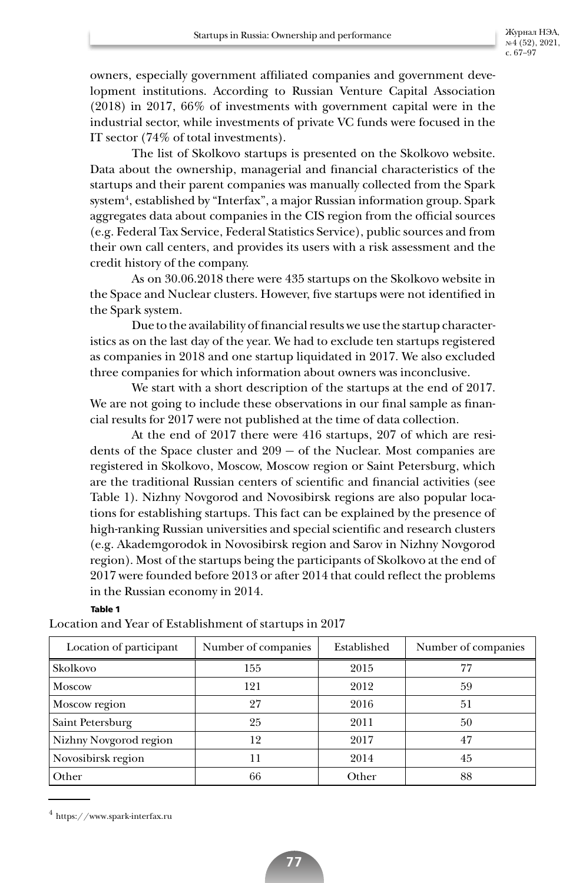owners, especially government affiliated companies and government development institutions. According to Russian Venture Capital Association (2018) in 2017, 66% of investments with government capital were in the industrial sector, while investments of private VC funds were focused in the IT sector (74% of total investments).

The list of Skolkovo startups is presented on the Skolkovo website. Data about the ownership, managerial and financial characteristics of the startups and their parent companies was manually collected from the Spark system<sup>4</sup>, established by "Interfax", a major Russian information group. Spark aggregates data about companies in the CIS region from the official sources (e.g. Federal Tax Service, Federal Statistics Service), public sources and from their own call centers, and provides its users with a risk assessment and the credit history of the company.

As on 30.06.2018 there were 435 startups on the Skolkovo website in the Space and Nuclear clusters. However, five startups were not identified in the Spark system.

Due to the availability of financial results we use the startup characteristics as on the last day of the year. We had to exclude ten startups registered as companies in 2018 and one startup liquidated in 2017. We also excluded three companies for which information about owners was inconclusive.

We start with a short description of the startups at the end of 2017. We are not going to include these observations in our final sample as financial results for 2017 were not published at the time of data collection.

At the end of 2017 there were 416 startups, 207 of which are residents of the Space cluster and 209 — of the Nuclear. Most companies are registered in Skolkovo, Moscow, Moscow region or Saint Petersburg, which are the traditional Russian centers of scientific and financial activities (see Table 1). Nizhny Novgorod and Novosibirsk regions are also popular locations for establishing startups. This fact can be explained by the presence of high-ranking Russian universities and special scientific and research clusters (e.g. Akademgorodok in Novosibirsk region and Sarov in Nizhny Novgorod region). Most of the startups being the participants of Skolkovo at the end of 2017 were founded before 2013 or after 2014 that could reflect the problems in the Russian economy in 2014.

### **Table 1**

Location and Year of Establishment of startups in 2017

| Location of participant | Number of companies | Established | Number of companies |
|-------------------------|---------------------|-------------|---------------------|
| <b>Skolkovo</b>         | 155                 | 2015        | 77                  |
| Moscow                  | 121                 | 2012        | 59                  |
| Moscow region           | 27                  | 2016        | 51                  |
| Saint Petersburg        | 25                  | 2011        | 50                  |
| Nizhny Novgorod region  | 12                  | 2017        | 47                  |
| Novosibirsk region      | 11                  | 2014        | 45                  |
| Other                   | 66                  | Other       | 88                  |

 $4$  https://www.spark-interfax.ru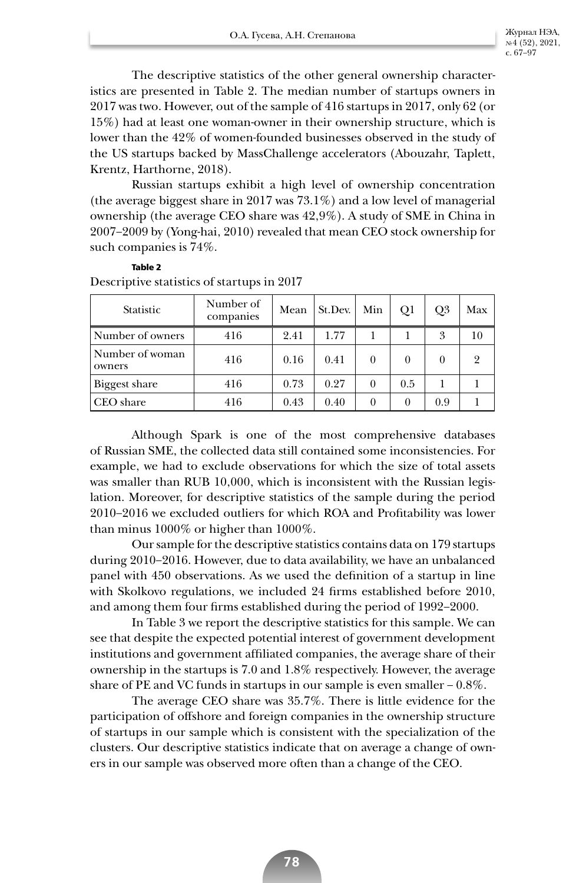The descriptive statistics of the other general ownership characteristics are presented in Table 2. The median number of startups owners in 2017 was two. However, out of the sample of 416 startups in 2017, only 62 (or 15%) had at least one woman-owner in their ownership structure, which is lower than the 42% of women-founded businesses observed in the study of the US startups backed by MassChallenge accelerators (Abouzahr, Taplett, Krentz, Harthorne, 2018).

Russian startups exhibit a high level of ownership concentration (the average biggest share in 2017 was 73.1%) and a low level of managerial ownership (the average CEO share was 42,9%). A study of SME in China in 2007–2009 by (Yong-hai, 2010) revealed that mean CEO stock ownership for such companies is 74%.

| <b>Statistic</b>          | Number of<br>companies | Mean | St.Dev. | Min      | Q1       | Q3       | Max |
|---------------------------|------------------------|------|---------|----------|----------|----------|-----|
| Number of owners          | 416                    | 2.41 | 1.77    |          |          | 3        | 10  |
| Number of woman<br>owners | 416                    | 0.16 | 0.41    | 0        | $\theta$ | $\Omega$ | 9   |
| <b>Biggest share</b>      | 416                    | 0.73 | 0.27    | $\theta$ | 0.5      |          |     |
| CEO share                 | 416                    | 0.43 | 0.40    | $\theta$ | $\theta$ | 0.9      |     |

# Descriptive statistics of startups in 2017

**Table 2**

Although Spark is one of the most comprehensive databases of Russian SME, the collected data still contained some inconsistencies. For example, we had to exclude observations for which the size of total assets was smaller than RUB 10,000, which is inconsistent with the Russian legislation. Moreover, for descriptive statistics of the sample during the period 2010–2016 we excluded outliers for which ROA and Profitability was lower than minus 1000% or higher than 1000%.

Our sample for the descriptive statistics contains data on 179 startups during 2010–2016. However, due to data availability, we have an unbalanced panel with 450 observations. As we used the definition of a startup in line with Skolkovo regulations, we included 24 firms established before 2010, and among them four firms established during the period of 1992–2000.

In Table 3 we report the descriptive statistics for this sample. We can see that despite the expected potential interest of government development institutions and government affiliated companies, the average share of their ownership in the startups is 7.0 and 1.8% respectively. However, the average share of PE and VC funds in startups in our sample is even smaller  $-0.8\%$ .

The average CEO share was 35.7%. There is little evidence for the participation of offshore and foreign companies in the ownership structure of startups in our sample which is consistent with the specialization of the clusters. Our descriptive statistics indicate that on average a change of owners in our sample was observed more often than a change of the CEO.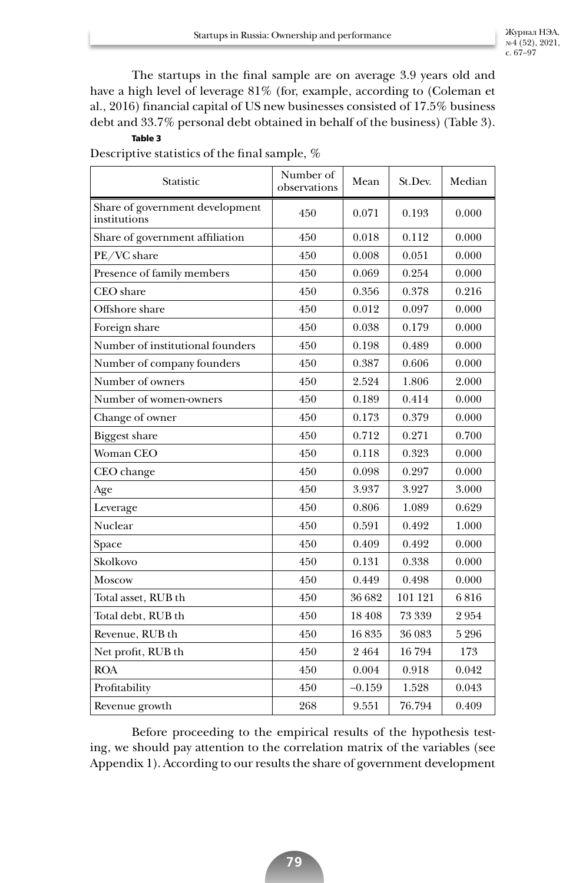The startups in the final sample are on average 3.9 years old and have a high level of leverage 81% (for, example, according to (Coleman et al., 2016) financial capital of US new businesses consisted of 17.5% business debt and 33.7% personal debt obtained in behalf of the business) (Table 3).

## **Table 3**

Descriptive statistics of the final sample, %

| Statistic                                       | Number of<br>observations | Mean     | St.Dev. | Median |
|-------------------------------------------------|---------------------------|----------|---------|--------|
| Share of government development<br>institutions | 450                       | 0.071    | 0.193   | 0.000  |
| Share of government affiliation                 | 450                       | 0.018    | 0.112   | 0.000  |
| PE/VC share                                     | 450                       | 0.008    | 0.051   | 0.000  |
| Presence of family members                      | 450                       | 0.069    | 0.254   | 0.000  |
| <b>CEO</b> share                                | 450                       | 0.356    | 0.378   | 0.216  |
| Offshore share                                  | 450                       | 0.012    | 0.097   | 0.000  |
| Foreign share                                   | 450                       | 0.038    | 0.179   | 0.000  |
| Number of institutional founders                | 450                       | 0.198    | 0.489   | 0.000  |
| Number of company founders                      | 450                       | 0.387    | 0.606   | 0.000  |
| Number of owners                                | 450                       | 2.524    | 1.806   | 2.000  |
| Number of women-owners                          | 450                       | 0.189    | 0.414   | 0.000  |
| Change of owner                                 | 450                       | 0.173    | 0.379   | 0.000  |
| <b>Biggest share</b>                            | 450                       | 0.712    | 0.271   | 0.700  |
| <b>Woman CEO</b>                                | 450                       | 0.118    | 0.323   | 0.000  |
| CEO change                                      | 450                       | 0.098    | 0.297   | 0.000  |
| Age                                             | 450                       | 3.937    | 3.927   | 3.000  |
| Leverage                                        | 450                       | 0.806    | 1.089   | 0.629  |
| Nuclear                                         | 450                       | 0.591    | 0.492   | 1.000  |
| Space                                           | 450                       | 0.409    | 0.492   | 0.000  |
| Skolkovo                                        | 450                       | 0.131    | 0.338   | 0.000  |
| <b>Moscow</b>                                   | 450                       | 0.449    | 0.498   | 0.000  |
| Total asset, RUB th                             | 450                       | 36 682   | 101 121 | 6816   |
| Total debt, RUB th                              | 450                       | 18408    | 73 339  | 2954   |
| Revenue, RUB th                                 | 450                       | 16835    | 36 083  | 5296   |
| Net profit, RUB th                              | 450                       | 2464     | 16794   | 173    |
| <b>ROA</b>                                      | 450                       | 0.004    | 0.918   | 0.042  |
| Profitability                                   | 450                       | $-0.159$ | 1.528   | 0.043  |
| Revenue growth                                  | 268                       | 9.551    | 76.794  | 0.409  |

Before proceeding to the empirical results of the hypothesis testing, we should pay attention to the correlation matrix of the variables (see Appendix 1). According to our results the share of government development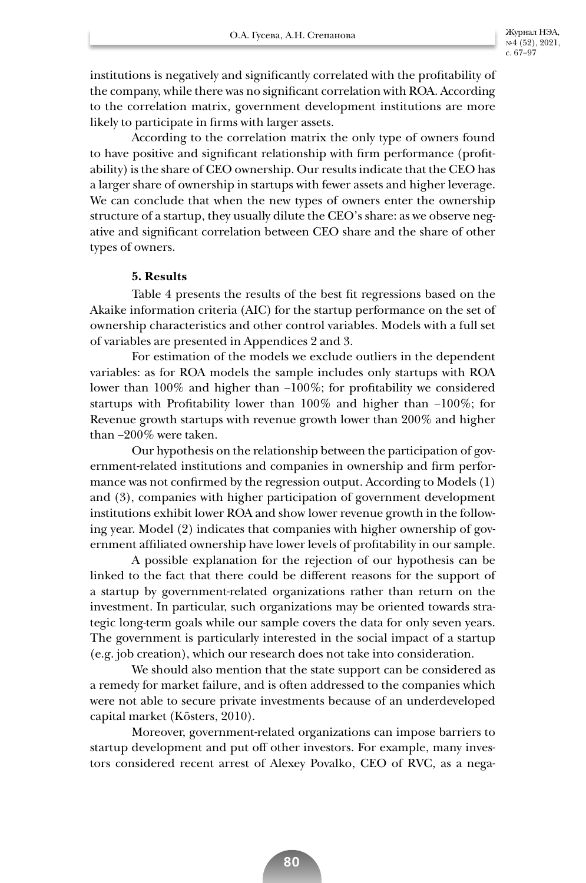institutions is negatively and significantly correlated with the profitability of the company, while there was no significant correlation with ROA. According to the correlation matrix, government development institutions are more likely to participate in firms with larger assets.

According to the correlation matrix the only type of owners found to have positive and significant relationship with firm performance (profitability) is the share of CEO ownership. Our results indicate that the CEO has a larger share of ownership in startups with fewer assets and higher leverage. We can conclude that when the new types of owners enter the ownership structure of a startup, they usually dilute the CEO's share: as we observe negative and significant correlation between CEO share and the share of other types of owners.

## **5. Results**

Table 4 presents the results of the best fit regressions based on the Akaike information criteria (AIC) for the startup performance on the set of ownership characteristics and other control variables. Models with a full set of variables are presented in Appendices 2 and 3.

For estimation of the models we exclude outliers in the dependent variables: as for ROA models the sample includes only startups with ROA lower than 100% and higher than –100%; for profitability we considered startups with Profitability lower than 100% and higher than –100%; for Revenue growth startups with revenue growth lower than 200% and higher than –200% were taken.

Our hypothesis on the relationship between the participation of government-related institutions and companies in ownership and firm performance was not confirmed by the regression output. According to Models (1) and (3), companies with higher participation of government development institutions exhibit lower ROA and show lower revenue growth in the following year. Model (2) indicates that companies with higher ownership of government affiliated ownership have lower levels of profitability in our sample.

A possible explanation for the rejection of our hypothesis can be linked to the fact that there could be different reasons for the support of a startup by government-related organizations rather than return on the investment. In particular, such organizations may be oriented towards strategic long-term goals while our sample covers the data for only seven years. The government is particularly interested in the social impact of a startup (e.g. job creation), which our research does not take into consideration.

We should also mention that the state support can be considered as a remedy for market failure, and is often addressed to the companies which were not able to secure private investments because of an underdeveloped capital market (Kösters, 2010).

Moreover, government-related organizations can impose barriers to startup development and put off other investors. For example, many investors considered recent arrest of Alexey Povalko, CEO of RVC, as a nega-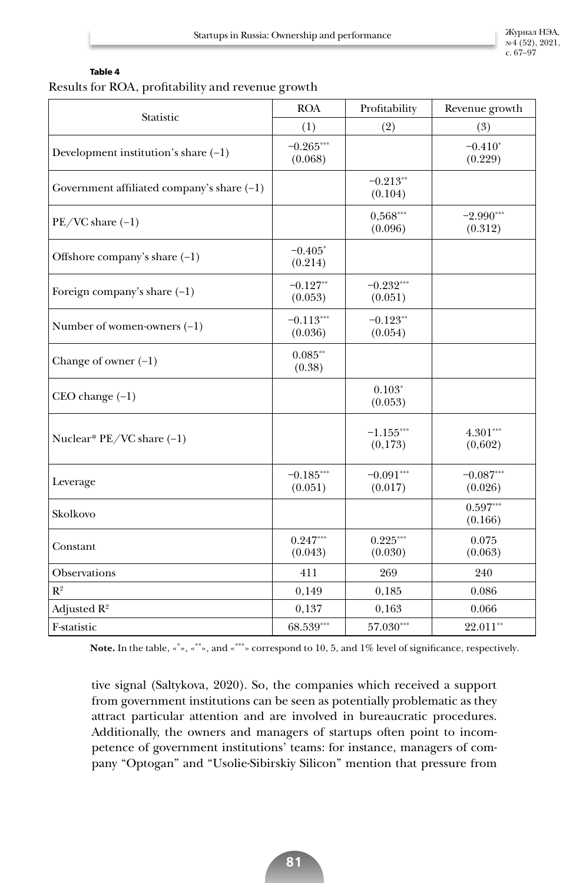Журнал НЭА, № 4 (52), 2021, с. 67–97

#### **Table 4**

# Results for ROA, profitability and revenue growth

| Statistic                                    | <b>ROA</b>             | Profitability          | Revenue growth         |
|----------------------------------------------|------------------------|------------------------|------------------------|
|                                              | (1)                    | (2)                    | (3)                    |
| Development institution's share $(-1)$       | $-0.265***$<br>(0.068) |                        | $-0.410*$<br>(0.229)   |
| Government affiliated company's share $(-1)$ |                        | $-0.213**$<br>(0.104)  |                        |
| $PE/VC share (-1)$                           |                        | $0,568***$<br>(0.096)  | $-2.990***$<br>(0.312) |
| Offshore company's share $(-1)$              | $-0.405*$<br>(0.214)   |                        |                        |
| Foreign company's share $(-1)$               | $-0.127**$<br>(0.053)  | $-0.232***$<br>(0.051) |                        |
| Number of women-owners $(-1)$                | $-0.113***$<br>(0.036) | $-0.123**$<br>(0.054)  |                        |
| Change of owner $(-1)$                       | $0.085**$<br>(0.38)    |                        |                        |
| $CEO change (-1)$                            |                        | $0.103*$<br>(0.053)    |                        |
| Nuclear* PE/VC share (-1)                    |                        | $-1.155***$<br>(0,173) | $4.301***$<br>(0,602)  |
| Leverage                                     | $-0.185***$<br>(0.051) | $-0.091***$<br>(0.017) | $-0.087***$<br>(0.026) |
| Skolkovo                                     |                        |                        | $0.597***$<br>(0.166)  |
| Constant                                     | $0.247***$<br>(0.043)  | $0.225***$<br>(0.030)  | 0.075<br>(0.063)       |
| Observations                                 | 411                    | 269                    | 240                    |
| $\mathbb{R}^2$                               | 0,149                  | 0,185                  | 0.086                  |
| Adjusted $R^2$                               | 0,137                  | 0,163                  | 0.066                  |
| F-statistic                                  | 68.539***              | $57.030***$            | 22.011**               |

**Note.** In the table, «\* », «\*\*», and «\*\*\*» correspond to 10, 5, and 1% level of significance, respectively.

tive signal (Saltykova, 2020). So, the companies which received a support from government institutions can be seen as potentially problematic as they attract particular attention and are involved in bureaucratic procedures. Additionally, the owners and managers of startups often point to incompetence of government institutions' teams: for instance, managers of company "Optogan" and "Usolie-Sibirskiy Silicon" mention that pressure from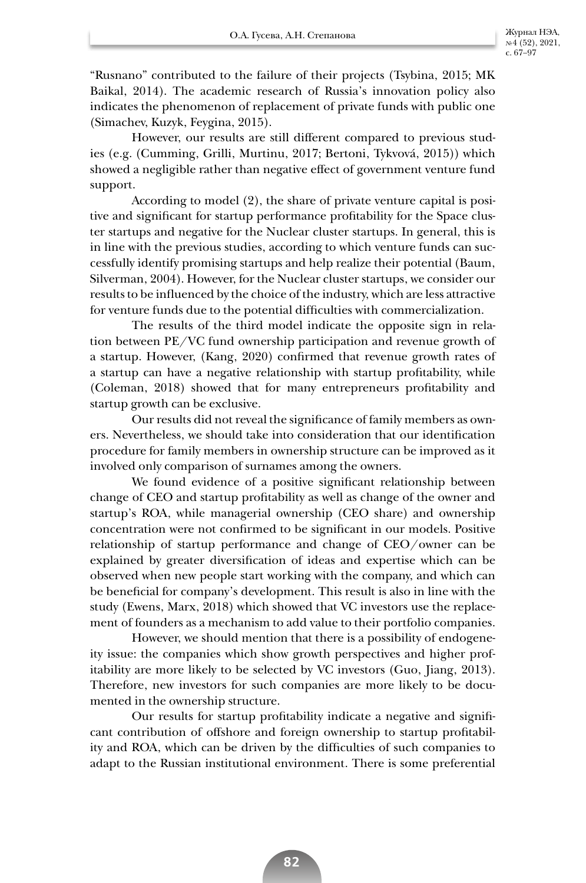"Rusnano" contributed to the failure of their projects (Tsybina, 2015; MK Baikal, 2014). The academic research of Russia's innovation policy also indicates the phenomenon of replacement of private funds with public one (Simachev, Kuzyk, Feygina, 2015).

However, our results are still different compared to previous studies (e.g. (Cumming, Grilli, Murtinu, 2017; Bertoni, Tykvová, 2015)) which showed a negligible rather than negative effect of government venture fund support.

According to model (2), the share of private venture capital is positive and significant for startup performance profitability for the Space cluster startups and negative for the Nuclear cluster startups. In general, this is in line with the previous studies, according to which venture funds can successfully identify promising startups and help realize their potential (Baum, Silverman, 2004). However, for the Nuclear cluster startups, we consider our results to be influenced by the choice of the industry, which are less attractive for venture funds due to the potential difficulties with commercialization.

The results of the third model indicate the opposite sign in relation between PE/VС fund ownership participation and revenue growth of a startup. However, (Kang, 2020) confirmed that revenue growth rates of a startup can have a negative relationship with startup profitability, while (Coleman, 2018) showed that for many entrepreneurs profitability and startup growth can be exclusive.

Our results did not reveal the significance of family members as owners. Nevertheless, we should take into consideration that our identification procedure for family members in ownership structure can be improved as it involved only comparison of surnames among the owners.

We found evidence of a positive significant relationship between change of CEO and startup profitability as well as change of the owner and startup's ROA, while managerial ownership (CEO share) and ownership concentration were not confirmed to be significant in our models. Positive relationship of startup performance and change of CEO/owner can be explained by greater diversification of ideas and expertise which can be observed when new people start working with the company, and which can be beneficial for company's development. This result is also in line with the study (Ewens, Marx, 2018) which showed that VC investors use the replacement of founders as a mechanism to add value to their portfolio companies.

However, we should mention that there is a possibility of endogeneity issue: the companies which show growth perspectives and higher profitability are more likely to be selected by VC investors (Guo, Jiang, 2013). Therefore, new investors for such companies are more likely to be documented in the ownership structure.

Our results for startup profitability indicate a negative and significant contribution of offshore and foreign ownership to startup profitability and ROA, which can be driven by the difficulties of such companies to adapt to the Russian institutional environment. There is some preferential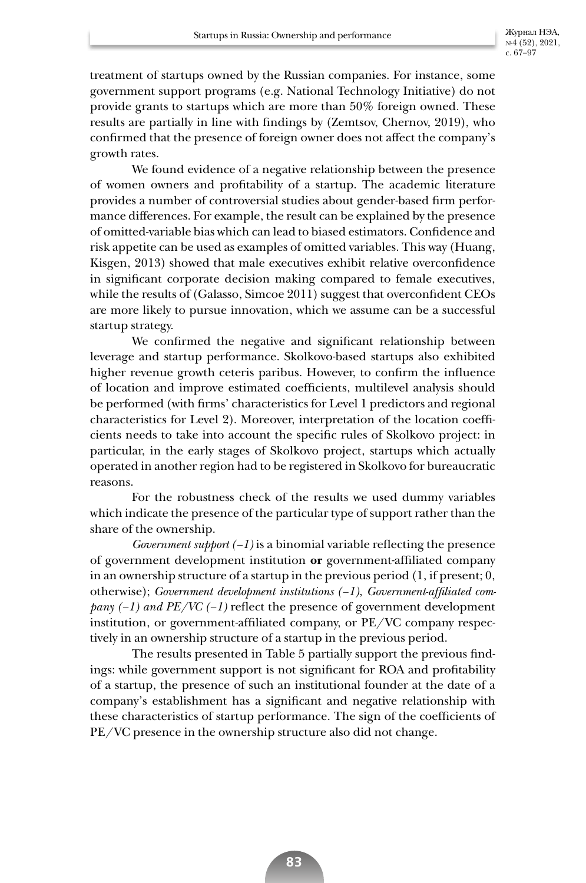Журнал НЭА, № 4 (52), 2021, с. 67–97

treatment of startups owned by the Russian companies. For instance, some government support programs (e.g. National Technology Initiative) do not provide grants to startups which are more than 50% foreign owned. These results are partially in line with findings by (Zemtsov, Chernov, 2019), who confirmed that the presence of foreign owner does not affect the company's growth rates.

We found evidence of a negative relationship between the presence of women owners and profitability of a startup. The academic literature provides a number of controversial studies about gender-based firm performance differences. For example, the result can be explained by the presence of omitted-variable bias which can lead to biased estimators. Confidence and risk appetite can be used as examples of omitted variables. This way (Huang, Kisgen, 2013) showed that male executives exhibit relative overconfidence in significant corporate decision making compared to female executives, while the results of (Galasso, Simcoe 2011) suggest that overconfident CEOs are more likely to pursue innovation, which we assume can be a successful startup strategy.

We confirmed the negative and significant relationship between leverage and startup performance. Skolkovo-based startups also exhibited higher revenue growth ceteris paribus. However, to confirm the influence of location and improve estimated coefficients, multilevel analysis should be performed (with firms' characteristics for Level 1 predictors and regional characteristics for Level 2). Moreover, interpretation of the location coefficients needs to take into account the specific rules of Skolkovo project: in particular, in the early stages of Skolkovo project, startups which actually operated in another region had to be registered in Skolkovo for bureaucratic reasons.

For the robustness check of the results we used dummy variables which indicate the presence of the particular type of support rather than the share of the ownership.

*Government support*  $(-1)$  is a binomial variable reflecting the presence of government development institution **or** government-affiliated company in an ownership structure of a startup in the previous period (1, if present; 0, otherwise); *Government development institutions (–1)*, *Government-affiliated company (–1) and PE/VC (–1)* reflect the presence of government development institution, or government-affiliated company, or PE/VC company respectively in an ownership structure of a startup in the previous period.

The results presented in Table 5 partially support the previous findings: while government support is not significant for ROA and profitability of a startup, the presence of such an institutional founder at the date of a company's establishment has a significant and negative relationship with these characteristics of startup performance. The sign of the coefficients of PE/VC presence in the ownership structure also did not change.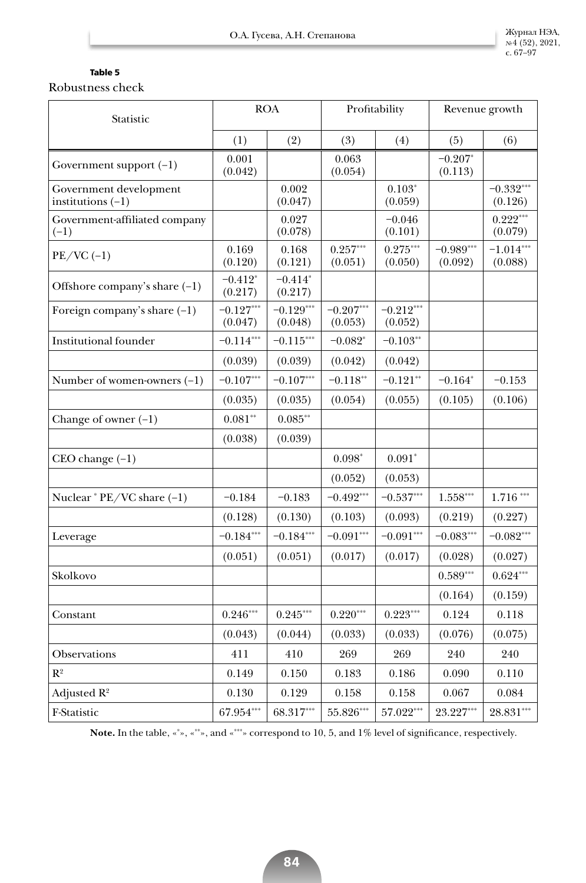# **Table 5**

Robustness check

| Statistic                                     |                        | <b>ROA</b>             |                        | Profitability          | Revenue growth         |                        |
|-----------------------------------------------|------------------------|------------------------|------------------------|------------------------|------------------------|------------------------|
|                                               | (1)                    | (2)                    | (3)                    | (4)                    | (5)                    | (6)                    |
| Government support $(-1)$                     | 0.001<br>(0.042)       |                        | 0.063<br>(0.054)       |                        | $-0.207*$<br>(0.113)   |                        |
| Government development<br>institutions $(-1)$ |                        | 0.002<br>(0.047)       |                        | $0.103*$<br>(0.059)    |                        | $-0.332***$<br>(0.126) |
| Government-affiliated company<br>$(-1)$       |                        | 0.027<br>(0.078)       |                        | $-0.046$<br>(0.101)    |                        | $0.222***$<br>(0.079)  |
| $PE/VC$ (-1)                                  | 0.169<br>(0.120)       | 0.168<br>(0.121)       | $0.257***$<br>(0.051)  | $0.275***$<br>(0.050)  | $-0.989***$<br>(0.092) | $-1.014***$<br>(0.088) |
| Offshore company's share $(-1)$               | $-0.412*$<br>(0.217)   | $-0.414*$<br>(0.217)   |                        |                        |                        |                        |
| Foreign company's share $(-1)$                | $-0.127***$<br>(0.047) | $-0.129***$<br>(0.048) | $-0.207***$<br>(0.053) | $-0.212***$<br>(0.052) |                        |                        |
| Institutional founder                         | $-0.114***$            | $-0.115***$            | $-0.082*$              | $-0.103**$             |                        |                        |
|                                               | (0.039)                | (0.039)                | (0.042)                | (0.042)                |                        |                        |
| Number of women-owners $(-1)$                 | $-0.107***$            | $-0.107***$            | $-0.118**$             | $-0.121**$             | $-0.164*$              | $-0.153$               |
|                                               | (0.035)                | (0.035)                | (0.054)                | (0.055)                | (0.105)                | (0.106)                |
| Change of owner $(-1)$                        | $0.081**$              | $0.085**$              |                        |                        |                        |                        |
|                                               | (0.038)                | (0.039)                |                        |                        |                        |                        |
| $CEO change (-1)$                             |                        |                        | $0.098*$               | $0.091*$               |                        |                        |
|                                               |                        |                        | (0.052)                | (0.053)                |                        |                        |
| Nuclear * PE/VC share (-1)                    | $-0.184$               | $-0.183$               | $-0.492***$            | $-0.537***$            | $1.558***$             | $1.716***$             |
|                                               | (0.128)                | (0.130)                | (0.103)                | (0.093)                | (0.219)                | (0.227)                |
| Leverage                                      | $-0.184***$            | $-0.184***$            | $-0.091***$            | $-0.091***$            | $-0.083***$            | $-0.082***$            |
|                                               | (0.051)                | (0.051)                | (0.017)                | (0.017)                | (0.028)                | (0.027)                |
| Skolkovo                                      |                        |                        |                        |                        | $0.589***$             | $0.624***$             |
|                                               |                        |                        |                        |                        | (0.164)                | (0.159)                |
| Constant                                      | $0.246***$             | $0.245***$             | $0.220***$             | $0.223***$             | 0.124                  | 0.118                  |
|                                               | (0.043)                | (0.044)                | (0.033)                | (0.033)                | (0.076)                | (0.075)                |
| Observations                                  | 411                    | 410                    | 269                    | 269                    | 240                    | 240                    |
| $R^2$                                         | 0.149                  | 0.150                  | 0.183                  | 0.186                  | 0.090                  | 0.110                  |
| Adjusted $R^2$                                | 0.130                  | 0.129                  | 0.158                  | 0.158                  | 0.067                  | 0.084                  |
| F-Statistic                                   | $67.954***$            | 68.317***              | 55.826***              | 57.022***              | 23.227***              | $28.831***$            |

**Note.** In the table, «\* », «\*\*», and «\*\*\*» correspond to 10, 5, and 1% level of significance, respectively.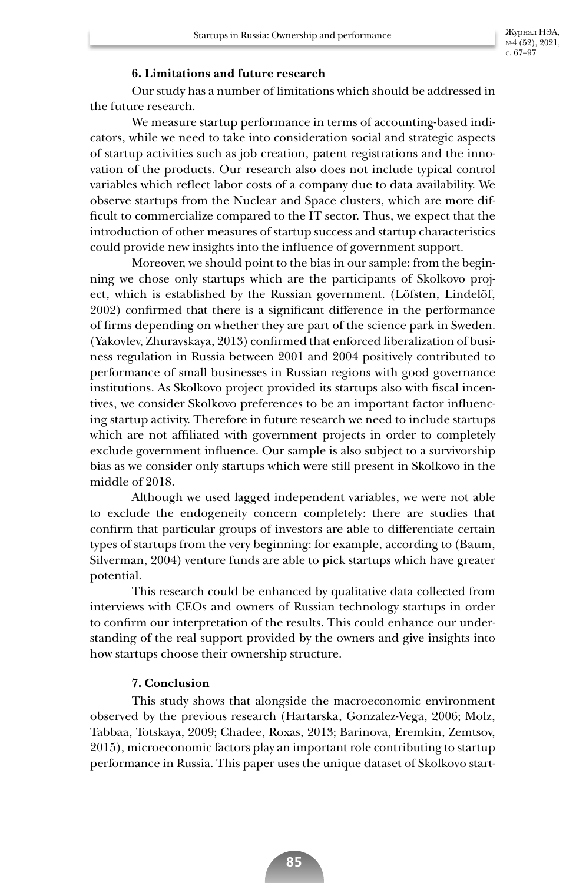## **6. Limitations and future research**

Our study has a number of limitations which should be addressed in the future research.

We measure startup performance in terms of accounting-based indicators, while we need to take into consideration social and strategic aspects of startup activities such as job creation, patent registrations and the innovation of the products. Our research also does not include typical control variables which reflect labor costs of a company due to data availability. We observe startups from the Nuclear and Space clusters, which are more difficult to commercialize compared to the IT sector. Thus, we expect that the introduction of other measures of startup success and startup characteristics could provide new insights into the influence of government support.

Moreover, we should point to the bias in our sample: from the beginning we chose only startups which are the participants of Skolkovo project, which is established by the Russian government. (Löfsten, Lindelöf, 2002) confirmed that there is a significant difference in the performance of firms depending on whether they are part of the science park in Sweden. (Yakovlev, Zhuravskaya, 2013) confirmed that enforced liberalization of business regulation in Russia between 2001 and 2004 positively contributed to performance of small businesses in Russian regions with good governance institutions. As Skolkovo project provided its startups also with fiscal incentives, we consider Skolkovo preferences to be an important factor influencing startup activity. Therefore in future research we need to include startups which are not affiliated with government projects in order to completely exclude government influence. Our sample is also subject to a survivorship bias as we consider only startups which were still present in Skolkovo in the middle of 2018.

Although we used lagged independent variables, we were not able to exclude the endogeneity concern completely: there are studies that confirm that particular groups of investors are able to differentiate certain types of startups from the very beginning: for example, according to (Baum, Silverman, 2004) venture funds are able to pick startups which have greater potential.

This research could be enhanced by qualitative data collected from interviews with CEOs and owners of Russian technology startups in order to confirm our interpretation of the results. This could enhance our understanding of the real support provided by the owners and give insights into how startups choose their ownership structure.

# **7. Conclusion**

This study shows that alongside the macroeconomic environment observed by the previous research (Hartarska, Gonzalez-Vega, 2006; Molz, Tabbaa, Totskaya, 2009; Chadee, Roxas, 2013; Barinova, Eremkin, Zemtsov, 2015), microeconomic factors play an important role contributing to startup performance in Russia. This paper uses the unique dataset of Skolkovo start-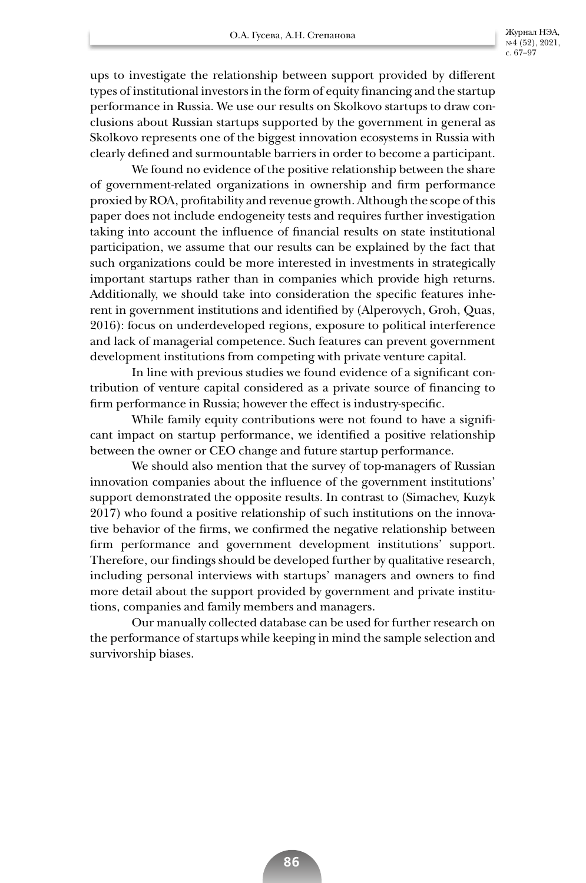№ 4 (52), 2021, с. 67–97

ups to investigate the relationship between support provided by different types of institutional investors in the form of equity financing and the startup performance in Russia. We use our results on Skolkovo startups to draw conclusions about Russian startups supported by the government in general as Skolkovo represents one of the biggest innovation ecosystems in Russia with clearly defined and surmountable barriers in order to become a participant.

We found no evidence of the positive relationship between the share of government-related organizations in ownership and firm performance proxied by ROA, profitability and revenue growth. Although the scope of this paper does not include endogeneity tests and requires further investigation taking into account the influence of financial results on state institutional participation, we assume that our results can be explained by the fact that such organizations could be more interested in investments in strategically important startups rather than in companies which provide high returns. Additionally, we should take into consideration the specific features inherent in government institutions and identified by (Alperovych, Groh, Quas, 2016): focus on underdeveloped regions, exposure to political interference and lack of managerial competence. Such features can prevent government development institutions from competing with private venture capital.

In line with previous studies we found evidence of a significant contribution of venture capital considered as a private source of financing to firm performance in Russia; however the effect is industry-specific.

While family equity contributions were not found to have a significant impact on startup performance, we identified a positive relationship between the owner or CEO change and future startup performance.

We should also mention that the survey of top-managers of Russian innovation companies about the influence of the government institutions' support demonstrated the opposite results. In contrast to (Simachev, Kuzyk 2017) who found a positive relationship of such institutions on the innovative behavior of the firms, we confirmed the negative relationship between firm performance and government development institutions' support. Therefore, our findings should be developed further by qualitative research, including personal interviews with startups' managers and owners to find more detail about the support provided by government and private institutions, companies and family members and managers.

Our manually collected database can be used for further research on the performance of startups while keeping in mind the sample selection and survivorship biases.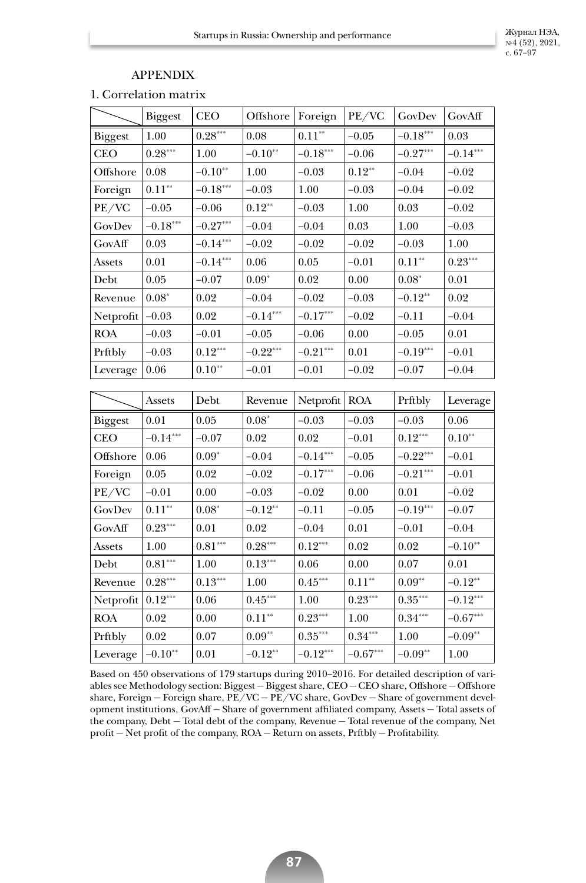# APPENDIX

1. Correlation matrix

|                | <b>Biggest</b>        | <b>CEO</b>            | Offshore              | Foreign    | PE/VC                  | GovDev                | GovAff                |
|----------------|-----------------------|-----------------------|-----------------------|------------|------------------------|-----------------------|-----------------------|
| <b>Biggest</b> | $1.00\,$              | $0.28^{\ast\ast\ast}$ | 0.08                  | $0.11**$   | $-0.05$                | $-0.18***$            | 0.03                  |
| <b>CEO</b>     | $0.28***$             | 1.00                  | $-0.10**$             | $-0.18***$ | $-0.06$                | $-0.27***$            | $-0.14***$            |
| Offshore       | 0.08                  | $-0.10**$             | 1.00                  | $-0.03$    | $0.12**$               | $-0.04$               | $-0.02$               |
| Foreign        | $0.11^{\ast\ast}$     | $-0.18***$            | $-0.03$               | 1.00       | $-0.03$                | $-0.04$               | $-0.02$               |
| PE/VC          | $-0.05$               | $-0.06$               | $0.12**$              | $-0.03$    | 1.00                   | $\rm 0.03$            | $-0.02$               |
| GovDev         | $-0.18***$            | $-0.27***$            | $-0.04$               | $-0.04$    | 0.03                   | 1.00                  | $-0.03$               |
| GovAff         | 0.03                  | $-0.14***$            | $-0.02$               | $-0.02$    | $-0.02$                | $-0.03$               | $1.00\,$              |
| Assets         | 0.01                  | $-0.14***$            | $0.06\,$              | 0.05       | $-0.01$                | $0.11^{\ast\ast}$     | $0.23^{\ast\ast\ast}$ |
| Debt           | 0.05                  | $-0.07$               | $0.09*$               | 0.02       | 0.00                   | $0.08*$               | 0.01                  |
| Revenue        | $0.08^\ast$           | 0.02                  | $-0.04$               | $-0.02$    | $-0.03$                | $-0.12**$             | 0.02                  |
| Netprofit      | $-0.03$               | 0.02                  | $-0.14***$            | $-0.17***$ | $-0.02$                | $-0.11$               | $-0.04$               |
| <b>ROA</b>     | $-0.03$               | $-0.01$               | $-0.05$               | $-0.06$    | 0.00                   | $-0.05$               | 0.01                  |
| Prftbly        | $-0.03$               | $0.12^{\ast\ast\ast}$ | $-0.22***$            | $-0.21***$ | 0.01                   | $-0.19***$            | $-0.01$               |
| Leverage       | 0.06                  | $0.10^{\ast\ast}$     | $-0.01$               | $-0.01$    | $-0.02$                | $-0.07$               | $-0.04$               |
|                |                       |                       |                       |            |                        |                       |                       |
|                | Assets                | Debt                  | Revenue               | Netprofit  | <b>ROA</b>             | Prftbly               | Leverage              |
| <b>Biggest</b> | 0.01                  | 0.05                  | $0.08*$               | $-0.03$    | $-0.03$                | $-0.03$               | 0.06                  |
| <b>CEO</b>     | $-0.14***$            | $-0.07$               | 0.02                  | 0.02       | $-0.01$                | $0.12***$             | $0.10**$              |
| Offshore       | $0.06\,$              | $0.09*$               | $-0.04$               | $-0.14***$ | $-0.05$                | $-0.22***$            | $-0.01$               |
| Foreign        | $0.05\,$              | 0.02                  | $-0.02$               | $-0.17***$ | $-0.06$                | $-0.21***$            | $-0.01$               |
| PE/VC          | $-0.01$               | 0.00                  | $-0.03$               | $-0.02$    | 0.00                   | 0.01                  | $-0.02$               |
| GovDev         | $0.11^{\ast\ast}$     | $0.08*$               | $-0.12**$             | $-0.11$    | $-0.05$                | $-0.19***$            | $-0.07$               |
| GovAff         | $0.23^{\ast\ast\ast}$ | $0.01\,$              | 0.02                  | $-0.04$    | 0.01                   | $-0.01$               | $-0.04$               |
| Assets         | 1.00                  | $0.81^{\ast\ast\ast}$ | $0.28^{\ast\ast\ast}$ | $0.12***$  | 0.02                   | 0.02                  | $-0.10**$             |
| Debt           | $0.81^{\ast\ast\ast}$ | $1.00\,$              | $0.13***$             | $0.06\,$   | $0.00\,$               | $0.07\,$              | $0.01\,$              |
| Revenue        | $0.28^{\ast\ast\ast}$ | $0.13^{\ast\ast\ast}$ | 1.00                  | $0.45***$  | $0.11^{\ast\ast}$      | $0.09^{\ast\ast}$     | $-0.12**$             |
| Netprofit      | $0.12^{\ast\ast\ast}$ | 0.06                  | $0.45***$             | 1.00       | $0.23^{\ast\ast\ast}$  | $0.35^{\ast\ast\ast}$ | $-0.12***$            |
| <b>ROA</b>     | 0.02                  | 0.00                  | $0.11^{\ast\ast}$     | $0.23***$  | 1.00                   | $0.34^{\ast\ast\ast}$ | $-0.67***$            |
| Prftbly        | 0.02                  | 0.07                  | $0.09^{\ast\ast}$     | $0.35***$  | $0.34***$              | 1.00                  | $-0.09**$             |
| Leverage       | $-0.10**$             | 0.01                  | $-0.12^{\ast\ast}$    | $-0.12***$ | $-0.67^{\ast\ast\ast}$ | $-0.09^{\ast\ast}$    | 1.00                  |

Based on 450 observations of 179 startups during 2010–2016. For detailed description of variables see Methodology section: Biggest — Biggest share, CEO — CEO share, Offshore — Offshore share, Foreign – Foreign share,  $PE/VC - PE/VC$  share,  $GovDev - Share$  of government development institutions, GovAff — Share of government affiliated company, Assets — Total assets of the company, Debt — Total debt of the company, Revenue — Total revenue of the company, Net profit — Net profit of the company, ROA — Return on assets, Prftbly — Profitability.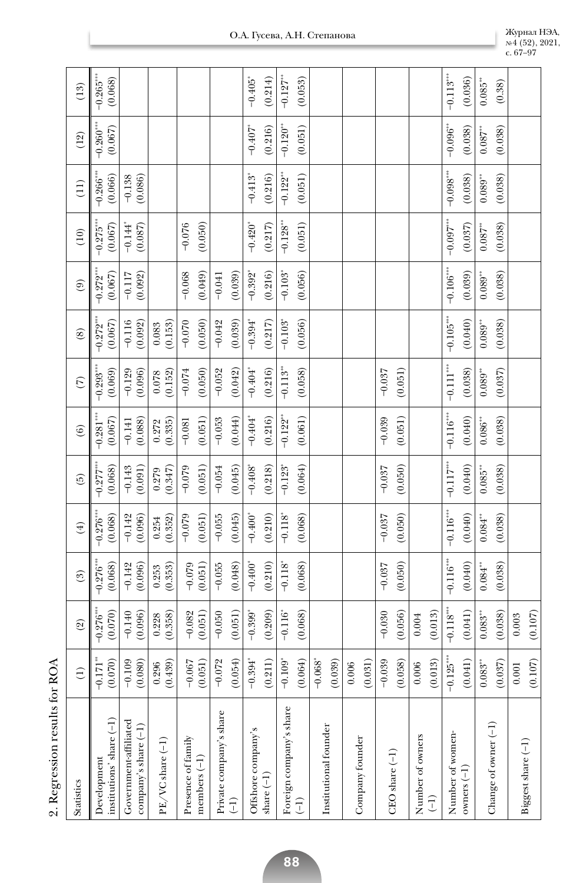| <b>Statistics</b>                             | $\widehat{\Xi}$                  | $\circledcirc$                   | $\binom{3}{2}$              | $\widehat{f}$           | $\widetilde{\Theta}$                          | $\left( 6\right)$                  | $\widehat{C}$                     | $\circledS$                       | $\left( \begin{matrix} 9 \end{matrix} \right)$ | (10)                             | (11)                                             | (12)                                 | (13)                             |
|-----------------------------------------------|----------------------------------|----------------------------------|-----------------------------|-------------------------|-----------------------------------------------|------------------------------------|-----------------------------------|-----------------------------------|------------------------------------------------|----------------------------------|--------------------------------------------------|--------------------------------------|----------------------------------|
| institutions' share (-1)<br>Development       | (0.070)<br>$-0.171$ <sup>*</sup> | $-0.276***$<br>(0.070)           | $-0.276$ *<br>(0.068)       | $-0.276$ ***<br>(0.068) | (0.068)<br>$-0.277$ <sup>*</sup>              | $-0.281$ ***<br>(0.067)            | $-0.293$<br>(0.069)               | $-0.272$ <sup>**</sup><br>(0.067) | (0.067)<br>$-0.272$                            | $-0.275$ ***<br>(0.067)          | $-0.266$ <sup>**</sup><br>(0.066)                | $-0.260$ <sup>*</sup><br>(0.067)     | $-0.265***$<br>(0.068)           |
| Government-affiliated<br>company's share (-1) | (0.080)<br>$-0.109$              | $-0.140$<br>(0.096)              | $-0.142$<br>(0.096)         | (0.096)<br>$-0.142$     | (160.0)<br>$-0.143$                           | (0.088)<br>$-0.141$                | (0.096)<br>$-0.129$               | $-0.116$<br>(0.092)               | $-0.117$<br>(0.092)                            | $-0.144$<br>(0.087)              | (0.086)<br>$-0.138$                              |                                      |                                  |
| PE/VC share (-1)                              | $(0.296$<br>(0.439)              | 0.228<br>(0.358)                 | (0.353)<br>0.253            | (0.352)<br>0.254        | (0.347)<br>0.279                              | (0.335)<br>0.272                   | (0.152)<br>0.078                  | (0.153)<br>0.083                  |                                                |                                  |                                                  |                                      |                                  |
| Presence of family<br>members $(-1)$          | (0.051)<br>$-0.067$              | $-0.082$<br>(0.051)              | $-0.079$<br>(0.051)         | $-0.079$<br>(0.051)     | (0.051)<br>$-0.079$                           | (0.051)<br>$-0.081$                | (0.050)<br>$-0.074$               | (0.050)<br>$-0.070$               | $-0.068$<br>(0.049)                            | $-0.076$<br>(0.050)              |                                                  |                                      |                                  |
| Private company's share<br>(1)                | (0.054)<br>$-0.072$              | $-0.050$<br>(0.051)              | $-0.055$<br>(0.048)         | $-0.055$<br>(0.045)     | (0.045)<br>$-0.054$                           | (0.044)<br>$-0.053$                | (0.042)<br>$-0.052$               | (0.039)<br>$-0.042$               | (0.039)<br>$-0.041$                            |                                  |                                                  |                                      |                                  |
| Offshore company's<br>share $(-1)$            | $-0.394$ <sup>*</sup><br>(0.211) | $-0.399$ <sup>*</sup><br>(0.209) | (0.210)<br>$-0.400^{\circ}$ | $-0.400^*$<br>(0.210)   | (0.218)<br>$-0.408$ <sup>*</sup>              | (0.216)<br>$-0.404$ <sup>*</sup>   | (0.216)<br>$-0.404$ <sup>*</sup>  | $-0.394$<br>(0.217)               | $-0.392$ <sup>*</sup><br>(0.216)               | $-0.420$ <sup>*</sup><br>(0.217) | $-0.413$ <sup>*</sup><br>(0.216)                 | $-0.407$ <sup>*</sup><br>(0.216)     | $-0.405$ <sup>*</sup><br>(0.214) |
| Foreign company's share<br>(F                 | (0.064)<br>$-0.109$ <sup>*</sup> | $-0.116$ <sup>*</sup><br>(0.068) | (0.068)<br>$-0.118$         | (0.068)<br>$-0.118$     | (0.064)<br>$-0.123$ <sup>*</sup>              | $-0.122$ <sup>*</sup><br>(0.061)   | $-0.113$ <sup>**</sup><br>(0.058) | (0.056)<br>$-0.103$               | (0.056)<br>$-0.103$                            | $-0.128$<br>(0.051)              | $-0.122$ <sup>**</sup><br>(0.051)                | $-0.120$ <sup>**</sup><br>(0.051)    | $-0.127$ **<br>(0.053)           |
| Institutional founder                         | $-0.068$ <sup>*</sup><br>(0.039) |                                  |                             |                         |                                               |                                    |                                   |                                   |                                                |                                  |                                                  |                                      |                                  |
| Company founder                               | (0.031)<br>0.006                 |                                  |                             |                         |                                               |                                    |                                   |                                   |                                                |                                  |                                                  |                                      |                                  |
| $CEO share(-1)$                               | $-0.039$<br>(0.058)              | $-0.030$<br>(0.056)              | $-0.037$<br>(0.050)         | (0.050)<br>$-0.037$     | $-0.037$<br>(0.050)                           | $-0.039$<br>(0.051)                | $-0.037$<br>(0.051)               |                                   |                                                |                                  |                                                  |                                      |                                  |
| Number of owners<br>(1)                       | (0.013)<br>0.006                 | 0.004<br>(0.013)                 |                             |                         |                                               |                                    |                                   |                                   |                                                |                                  |                                                  |                                      |                                  |
| Number of women-<br>$\alpha$ owners $(-1)$    | $-0.125$ ***<br>(0.041)          | $-0.118***$<br>(0.041)           | $-0.116***$<br>(0.040)      | $-0.116***$<br>(0.040)  | $-0.117\ensuremath{^{***}}\xspace$<br>(0.040) | $-0.116^{\ast\ast\ast}$<br>(0.040) | $-0.111***$<br>(0.038)            | $-0.105***$<br>(0.040)            | $-0.106^{\tiny\textnormal{***}}$<br>(0.039)    | $-0.097***$<br>(0.037)           | $-0.098^{\scriptscriptstyle\rm stat}$<br>(0.038) | $-0.096$ <sup>**</sup><br>(0.038)    | $-0.113***$<br>(0.036)           |
| Change of owner (-1)                          | 0.083'''<br>(0.037)              | 0.083'''<br>(0.038)              | (0.038)<br>$0.084***$       | (0.038)<br>0.084'''     | (0.038)<br>$0.085^{\circ\circ}$               | (0.038)<br>$0.086^{**}$            | (0.037)<br>$0.089^{**}$           | (0.038)<br>0.089                  | (0.038)<br>$0.089^{\circ\circ}$                | (0.038)<br>$0.087$ **            | (0.038)<br>$0.089^{**}$                          | (0.038)<br>$0.087\ensuremath{^{**}}$ | 0.085'''<br>(0.38)               |
| Biggest share (-1)                            | (0.107)<br>0.001                 | 0.003<br>(0.107)                 |                             |                         |                                               |                                    |                                   |                                   |                                                |                                  |                                                  |                                      |                                  |

№ 4 (52), 2021,

с. 67–97

2. Regression results for ROA 2. Regression results for ROA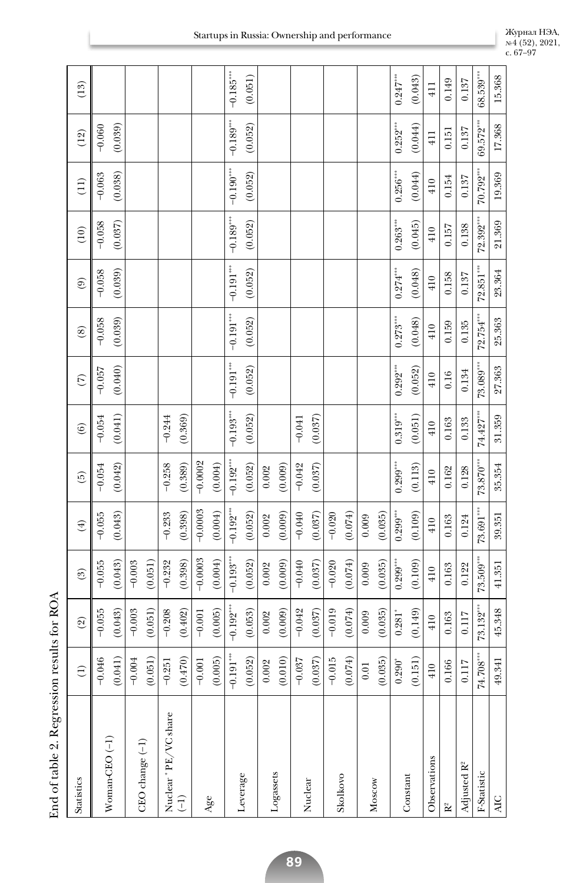| Statistics              | $\widehat{E}$             | $\widehat{2}$            | (3)         | $(\ddagger)$ | $\widetilde{\Theta}$ | $\left( 6\right)$    | $\widehat{C}$ | $\circleds$ | $\widehat{e}$ | (10)                      | (11)        | (12)            | (13)                 |
|-------------------------|---------------------------|--------------------------|-------------|--------------|----------------------|----------------------|---------------|-------------|---------------|---------------------------|-------------|-----------------|----------------------|
|                         | $-0.046$                  | $-0.055$                 | $-0.055$    | $-0.055$     | $-0.054$             | $-0.054$             | $-0.057$      | $-0.058$    | $-0.058$      | $-0.058$                  | $-0.063$    | $-0.060$        |                      |
| $Woman-CEO (-1)$        | (0.041)                   | (0.043)                  | (0.043)     | (0.043)      | (0.042)              | (0.041)              | (0.040)       | (0.039)     | (0.039)       | (0.037)                   | (0.038)     | (0.039)         |                      |
|                         | $-0.004$                  | $-0.003$                 | $-0.003$    |              |                      |                      |               |             |               |                           |             |                 |                      |
| CEO change (-1)         | (0.051)                   | (0.051)                  | (0.051)     |              |                      |                      |               |             |               |                           |             |                 |                      |
| Nuclear * PE/VC share   | $-0.251$                  | $-0.208$                 | $-0.232$    | $-0.233$     | $-0.258$             | $-0.244$             |               |             |               |                           |             |                 |                      |
| $\overline{(-1)}$       | (0.470)                   | (0.402)                  | (0.398)     | (0.398)      | (0.389)              | (0.369)              |               |             |               |                           |             |                 |                      |
|                         | $-0.001$                  | $-0.001$                 | $-0.0003$   | $-0.0003$    | $-0.0002$            |                      |               |             |               |                           |             |                 |                      |
| Age                     | (0.005)                   | (0.005)                  | (0.004)     | (0.004)      | (0.004)              |                      |               |             |               |                           |             |                 |                      |
|                         | $-0.191^{\,\mathrm{***}}$ | $-0.192***$              | $-0.193$    | $-0.192$     | $-0.192***$          | $-0.193***$          | $-0.191***$   | $-0.191***$ | $-0.191***$   | $-0.189***$               | $-0.190***$ | $-0.189***$     | $-0.185***$          |
| Leverage                | (0.052)                   | (0.053)                  | (0.052)     | (0.052)      | (0.052)              | (0.052)              | (0.052)       | (0.052)     | (0.052)       | (0.052)                   | (0.052)     | (0.052)         | (0.051)              |
|                         | 0.002                     | 0.002                    | 0.002       | 0.002        | 0.002                |                      |               |             |               |                           |             |                 |                      |
| Logassets               | (0.010)                   | (0.009)                  | (0.009)     | (0.009)      | (0.009)              |                      |               |             |               |                           |             |                 |                      |
| Nuclear                 | $-0.037$                  | $-0.042$                 | $-0.040$    | $-0.040$     | $-0.042$             | $-0.041$             |               |             |               |                           |             |                 |                      |
|                         | (0.037)                   | (0.037)                  | (0.037)     | (0.037)      | (0.037)              | (0.037)              |               |             |               |                           |             |                 |                      |
| Skolkovo                | $-0.015$                  | $\mathcal{L}$<br>$-0.01$ | $-0.020$    | $-0.020$     |                      |                      |               |             |               |                           |             |                 |                      |
|                         | (0.074)                   | (0.074)                  | (0.074)     | (0.074)      |                      |                      |               |             |               |                           |             |                 |                      |
| Moscow                  | $0.01\,$                  | 0.009                    | 0.009       | 0.009        |                      |                      |               |             |               |                           |             |                 |                      |
|                         | (0.035)                   | (0.035)                  | (0.035)     | (0.035)      |                      |                      |               |             |               |                           |             |                 |                      |
| Constant                | $0.290*$                  | 0.281                    | $0.299***$  | $0.299***$   | $0.299***$           | $0.319^{\circ\circ}$ | $0.292***$    | $0.273***$  | $0.274***$    | $0.263^{\circ\circ\circ}$ | $0.256***$  | $0.252***$      | $0.247^{\circ\circ}$ |
|                         | (0.151)                   | (0, 149)                 | (0.109)     | (0.109)      | (0.113)              | (0.051)              | (0.052)       | (0.048)     | (0.048)       | (0.045)                   | (0.044)     | (0.044)         | (0.043)              |
| Observations            | 410                       | 410                      | 410         | 410          | 410                  | 410                  | 410           | 410         | 410           | 410                       | 410         | $\frac{11}{41}$ | 411                  |
| $\mathbb{R}^2$          | 0.166                     | 0.163                    | 0.163       | 0.163        | 0.162                | 0.163                | 0.16          | 0.159       | 0.158         | 0.157                     | 0.154       | 0.151           | 0.149                |
| Adjusted R <sup>2</sup> | 0.117                     | $\overline{z}$<br>Ξ.     | 0.122       | 0.124        | 0.128                | 0.133                | 0.134         | 0.135       | 0.137         | 0.138                     | 0.137       | 0.137           | 0.137                |
| F-Statistic             | 74.708***                 | $73.132***$              | $73.509***$ | $73.691***$  | $73.870***$          | 74.427***            | 73.089***     | $72.754***$ | 72.851***     | 72.392***                 | 70.792***   | 69.572***       | $68.539***$          |
| AIC                     | 49.341                    | 45.348                   | 41.351      | 39.351       | 35.354               | 31.359               | 27.363        | 25.363      | 23.364        | 21.369                    | 19.369      | 17.368          | 15.368               |

**89**

с. 67–97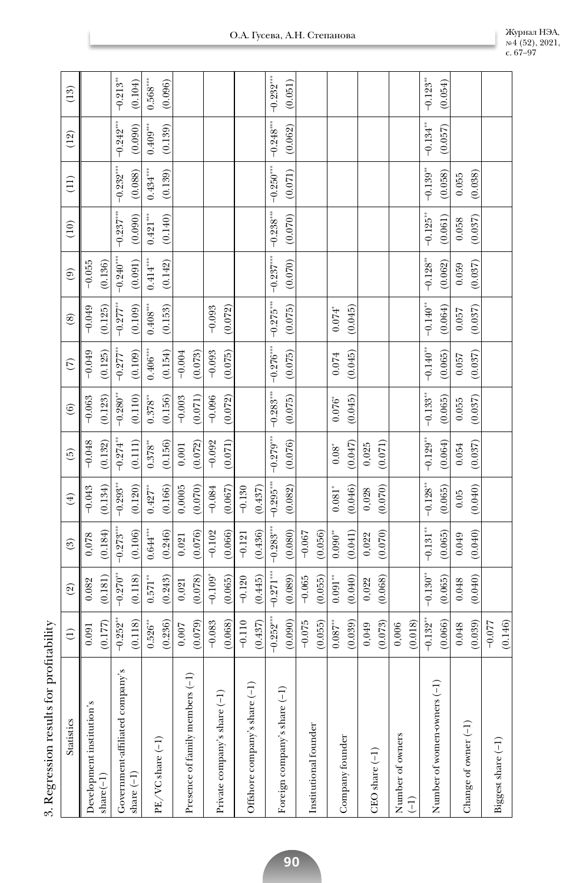| Statistics                      | $\widehat{E}$          | $\mathcal{L}$         | $\binom{3}{2}$     | $\left( 4\right)$      | $\widehat{5}$          | $\widehat{6}$          | $\widetilde{C}$        | $\circledS$               | $\circledcirc$         | (10)                             | $\left(11\right)$      | (12)                          | (13)                   |
|---------------------------------|------------------------|-----------------------|--------------------|------------------------|------------------------|------------------------|------------------------|---------------------------|------------------------|----------------------------------|------------------------|-------------------------------|------------------------|
| Development institution's       | 0.091                  | 0.082                 | 0,078              | $-0.043$               | $-0.048$               | $-0.063$               | $-0.049$               | $-0.049$                  | $-0.055$               |                                  |                        |                               |                        |
| $share(-1)$                     | (0.177)                | (0.181)               | (0.184)            | (0.134)                | (0.132)                | (0.123)                | (0.125)                | (0.125)                   | (0.136)                |                                  |                        |                               |                        |
| Government-affiliated company's | $-0.252$ <sup>**</sup> | $-0.270$              | $-0.273***$        | $-0.293***$            | $-0.274$ **            | $-0.280$ <sup>**</sup> | $-0.277$               | $-0.277$                  | $-0.240***$            | $-0.237***$                      | $-0.232***$            | $-0.242***$                   | $-0.213$ <sup>**</sup> |
| share $(-1)$                    | (0.118)                | (0.118)               | (0.106)            | (0.120)                | (0.111)                | (0.110)                | (0.109)                | (0.109)                   | (0.091)                | (0.090)                          | (0.088)                | (0.090)                       | (0.104)                |
|                                 | $0.526^{\circ\circ}$   | $0.571***$            | $0.644***$         | $0.427\sp{3}$          | $0.378^{\circ\circ}$   | $0.378^{\circ\circ}$   | $0.406^{\ast\ast\ast}$ | $0.408^{\circ\circ\circ}$ | $0.414^{\ast\ast\ast}$ | $0.421^{\tiny\mbox{\tiny{ass}}}$ | $0.434***$             | $0.409^{\mbox{\tiny\rm sys}}$ | $0.568***$             |
| PE/VC share (-1)                | (0.236)                | (0.243)               | (0.246)            | (0.166)                | (0.156)                | (0.156)                | (0.154)                | (0.153)                   | (0.142)                | (0.140)                          | (0.139)                | (0.139)                       | (0.096)                |
|                                 | 0,007                  | 0,021                 | 0,021              | 0,0005                 | $\,0.001$              | $-0.003$               | $-0.004$               |                           |                        |                                  |                        |                               |                        |
| Presence of family members (-1) | (0.079)                | (0.078)               | (0.076)            | (0.070)                | (0.072)                | (0.071)                | (0.073)                |                           |                        |                                  |                        |                               |                        |
|                                 | $-0.083$               | $-0.109$ <sup>*</sup> | $-0.102$           | $-0.084$               | $-0.092$               | $-0.096$               | $-0.093$               | $-0.093$                  |                        |                                  |                        |                               |                        |
| Private company's share (-1     | (0.068)                | (0.065)               | (0.066)            | (0.067)                | (0.071)                | (0.072)                | (0.075)                | (0.072)                   |                        |                                  |                        |                               |                        |
|                                 | $-0.110$               | $-0.120$              | $-0.121$           | $-0.130$               |                        |                        |                        |                           |                        |                                  |                        |                               |                        |
| Offshore company's share (-1)   | (0.437)                | (0.445)               | (0.436)            | (0.437)                |                        |                        |                        |                           |                        |                                  |                        |                               |                        |
|                                 | $-0.252$ <sup>**</sup> | $-0.271***$           | $-0.283***$        | $-0.295***$            | $-0.279***$            | $-0.283***$            | $-0.276$               | $-0.275***$               | $-0.237***$            | $-0.238$                         | $-0.250***$            | $-0.248$ ***                  | $-0.232***$            |
| Foreign company's share (-1)    | (0.090)                | (0.089)               | (0.080)            | (0.082)                | (0.076)                | (0.075)                | (0.075)                | (0.075)                   | (0.070)                | (0.070)                          | (0.071)                | (0.062)                       | (0.051)                |
|                                 | $-0.075$               | $-0.065$              | $-0.067$           |                        |                        |                        |                        |                           |                        |                                  |                        |                               |                        |
| Institutional founder           | (0.055)                | (0.055)               | (0.056)            |                        |                        |                        |                        |                           |                        |                                  |                        |                               |                        |
|                                 | $0.087$ **             | $0.091^{\ast\ast}$    | $0.090^{\ast\ast}$ | $0.081$ <sup>*</sup>   | $0.08^\circ$           | $0.076^\circ$          | $0.074\,$              | $0.074$ <sup>*</sup>      |                        |                                  |                        |                               |                        |
| Company founder                 | (0.039)                | (0.040)               | (0.041)            | (0.046)                | (0.047)                | (0.045)                | (0.045)                | (0.045)                   |                        |                                  |                        |                               |                        |
| $CEO share(-1)$                 | 0,049                  | 0,022                 | 0,022              | 0,028                  | 0,025                  |                        |                        |                           |                        |                                  |                        |                               |                        |
|                                 | (0.073)                | (0.068)               | (0.070)            | (0.070)                | (0.071)                |                        |                        |                           |                        |                                  |                        |                               |                        |
| Number of owners                | 0,006                  |                       |                    |                        |                        |                        |                        |                           |                        |                                  |                        |                               |                        |
| (F                              | (0.018)                |                       |                    |                        |                        |                        |                        |                           |                        |                                  |                        |                               |                        |
|                                 | $-0.132***$            | $-0.130***$           | $-0.131***$        | $-0.128$ <sup>**</sup> | $-0.129$ <sup>**</sup> | $-0.133$ <sup>**</sup> | $-0.140**$             | $-0.140**$                | $-0.128$ **            | $-0.125$ <sup>**</sup>           | $-0.139$ <sup>**</sup> | $-0.134$ **                   | $-0.123'''$            |
| Number of women-owners (-1)     | (0.066)                | (0.065)               | (0.065)            | (0.065)                | (0.064)                | (0.065)                | (0.065)                | (0.064)                   | (0.062)                | (0.061)                          | (0.058)                | (0.057)                       | (0.054)                |
|                                 | 0.048                  | 0.048                 | 0.049              | 0.05                   | 0.054                  | 0.055                  | 0.057                  | 0.057                     | 0.059                  | 0.058                            | 0.055                  |                               |                        |
| Change of owner (-1)            | (0.039)                | (0.040)               | (0.040)            | (0.040)                | (0.037)                | (0.037)                | (0.037)                | (0.037)                   | (0.037)                | (0.037)                          | (0.038)                |                               |                        |
|                                 | $-0.077$               |                       |                    |                        |                        |                        |                        |                           |                        |                                  |                        |                               |                        |
| Biggest share (-1)              | (0.146)                |                       |                    |                        |                        |                        |                        |                           |                        |                                  |                        |                               |                        |
|                                 |                        |                       |                    |                        |                        |                        |                        |                           |                        |                                  |                        |                               |                        |

№ 4 (52), 2021,

с. 67–97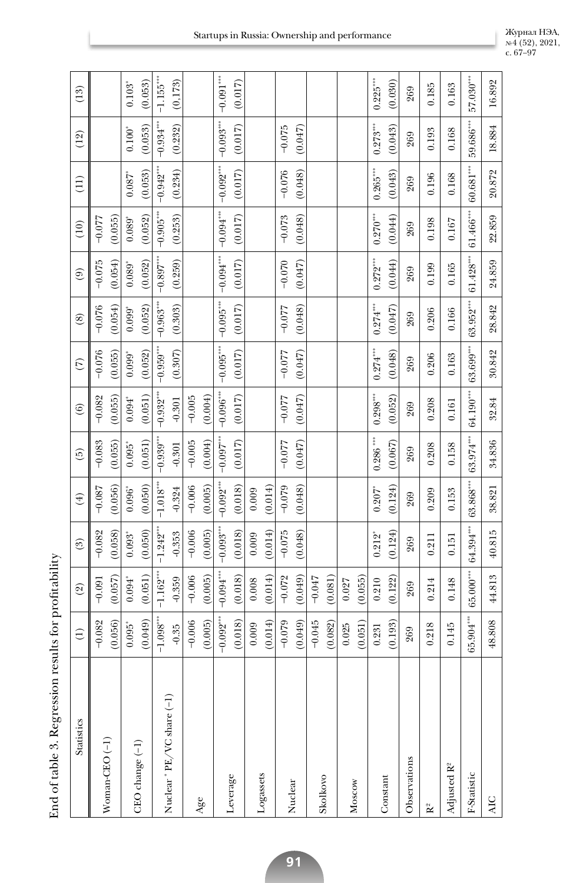| <b>Statistics</b>          | $\widehat{\cup}$                   | (2)                  | (3)                  | $(\pm)$                | $\widehat{\Theta}$   | $\widehat{6}$        | $\widehat{C}$ | $\circledS$ | $\circledcirc$       | (10)                 | (11)                             | (12)        | (13)                    |
|----------------------------|------------------------------------|----------------------|----------------------|------------------------|----------------------|----------------------|---------------|-------------|----------------------|----------------------|----------------------------------|-------------|-------------------------|
|                            | $-0.082$                           | $-0.091$             | $-0.082$             | $-0.087$               | $-0.083$             | $-0.082$             | $-0.076$      | $-0.076$    | $-0.075$             | $-0.077$             |                                  |             |                         |
| Woman-CEO <sup>(-1)</sup>  | (0.056)                            | (0.057)              | (0.058)              | (0.056)                | (0.055)              | (0.055)              | (0.055)       | (0.054)     | (0.054)              | (0.055)              |                                  |             |                         |
|                            | $0.095$ <sup>*</sup>               | $0.094$ <sup>*</sup> | $0.093$ <sup>*</sup> | $0.096$ <sup>*</sup>   | $0.095$ <sup>*</sup> | $0.094$ <sup>*</sup> | $0.099*$      | $0.099*$    | $0.089$ <sup>*</sup> | $0.089$ <sup>*</sup> | $0.087$ <sup>*</sup>             | $0.100^{*}$ | $0.103^{*}$             |
| CEO change (-1)            | (6.40, 0)                          | (0.051)              | (0.050)              | (0.050)                | (0.051)              | (0.051)              | (0.052)       | (0.052)     | (0.052)              | (0.052)              | (0.053)                          | (0.053)     | (0.053)                 |
|                            | $\text{--}1.098^{\circ\circ\circ}$ | $-1.162$ ***         | $-1.242$ ***         | $-1.018$ <sup>**</sup> | $-0.939***$          | $-0.932***$          | $-0.959***$   | $-0.963***$ | $-0.897***$          | $-0.905$             | $-0.942***$                      | $-0.934***$ | $-1.155$ <sup>***</sup> |
| Nuclear * PE/VC share (-1) | $-0.35$                            | $-0.359$             | $-0.353$             | $-0.324$               | $-0.301$             | $-0.301$             | (0.307)       | (0.303)     | (0.259)              | (0.253)              | (0.234)                          | (0.232)     | (0, 173)                |
|                            | $-0.006$                           | $-0.006$             | $-0.006$             | $-0.006$               | $-0.005$             | $-0.005$             |               |             |                      |                      |                                  |             |                         |
| Age                        | (0.005)                            | (0.005)              | (0.005)              | (0.005)                | (0.004)              | (0.004)              |               |             |                      |                      |                                  |             |                         |
|                            | $-0.092***$                        | $-0.094***$          | $-0.093$             | $-0.092$               | $-0.097$ ***         | $-0.096***$          | $-0.095***$   | $-0.095***$ | $-0.094***$          | $-0.094***$          | $-0.092***$                      | $-0.093***$ | $-0.091***$             |
| Leverage                   | (0.018)                            | (0.018)              | (0.018)              | (0.018)                | (0.017)              | (0.017)              | (0.017)       | (0.017)     | (0.017)              | (0.017)              | (0.017)                          | (0.017)     | (0.017)                 |
|                            | 0.009                              | 0.008                | 0.009                | 0.009                  |                      |                      |               |             |                      |                      |                                  |             |                         |
| Logassets                  | (0.014)                            | (0.014)              | (0.014)              | (0.014)                |                      |                      |               |             |                      |                      |                                  |             |                         |
|                            | $-0.079$                           | $-0.072$             | $-0.075$             | $-0.079$               | $-0.077$             | $-0.077$             | $-0.077$      | $-0.077$    | $-0.070$             | $-0.073$             | $-0.076$                         | $-0.075$    |                         |
| Nuclear                    | (0.049)                            | (0.049)              | (0.048)              | (0.048)                | (0.047)              | (0.047)              | (0.047)       | (0.048)     | (0.047)              | (0.048)              | (0.048)                          | (0.047)     |                         |
| Skolkovo                   | $-0.045$                           | $-0.047$             |                      |                        |                      |                      |               |             |                      |                      |                                  |             |                         |
|                            | (0.082)                            | (0.081)              |                      |                        |                      |                      |               |             |                      |                      |                                  |             |                         |
|                            | 0.025                              | 0.027                |                      |                        |                      |                      |               |             |                      |                      |                                  |             |                         |
| Moscow                     | (0.051)                            | (0.055)              |                      |                        |                      |                      |               |             |                      |                      |                                  |             |                         |
|                            | 0.231                              | 0.210                | $0.212$ <sup>*</sup> | $0.207$ <sup>*</sup>   | $0.286$ ***          | $0.298***$           | $0.274***$    | $0.274***$  | $0.272***$           | $0.270***$           | $0.265^{\tiny\mbox{\tiny{ass}}}$ | $0.273***$  | $0.225***$              |
| Constant                   | (0.193)                            | (0.122)              | (0.124)              | (0.124)                | (0.067)              | (0.052)              | (0.048)       | (0.047)     | (0.044)              | (0.044)              | (0.043)                          | (0.043)     | (0.030)                 |
| Observations               | 269                                | 269                  | 269                  | 269                    | 269                  | 269                  | 269           | 269         | 269                  | 269                  | 269                              | 269         | 269                     |
| R <sup>2</sup>             | 0.218                              | 0.214                | 0.211                | 0.209                  | 0.208                | 0.208                | 0.206         | 0.206       | 0.199                | 0.198                | 0.196                            | 0.193       | 0.185                   |
| Adjusted R <sup>2</sup>    | 0.145                              | 0.148                | 0.151                | 0.153                  | 0.158                | 0.161                | 0.163         | 0.166       | 0.165                | 0.167                | 0.168                            | 0.168       | 0.163                   |
| F-Statistic                | \$8<br>65.904                      | $65.000***$          | 64.394***            | $63.868***$            | $63.974***$          | $64.190***$          | $63.699***$   | $63.952***$ | $61.428***$          | $61.466$ ***         | $60.681***$                      | $59.686***$ | $57.030***$             |
| <b>AIC</b>                 | 48.808                             | 44.813               | 40.815               | 38.821                 | 34.836               | 32.84                | 30.842        | 28.842      | 24.859               | 22.859               | 20.872                           | 18.884      | 16.892                  |
|                            |                                    |                      |                      |                        |                      |                      |               |             |                      |                      |                                  |             |                         |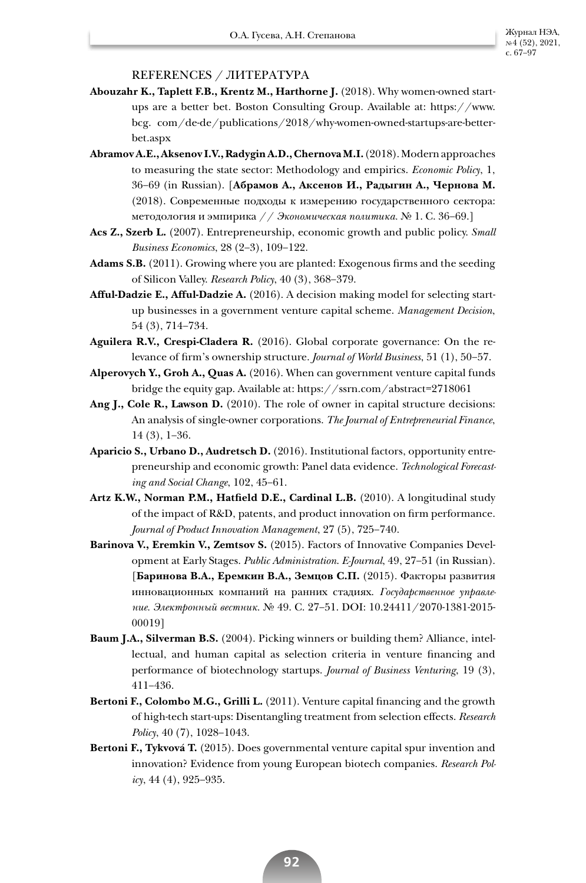## REFERENCES / ЛИТЕРАТУРА

- **Abouzahr K., Taplett F.B., Krentz M., Harthorne J.** (2018). Why women-owned startups are a better bet. Boston Consulting Group*.* Available at: https://www. bcg. com/de-de/publications/2018/why-women-owned-startups-are-betterbet.aspx
- **Abramov A.E., Aksenov I.V., Radygin A.D., Chernova M.I.** (2018). Modern approaches to measuring the state sector: Methodology and empirics. *Economic Policy*, 1, 36–69 (in Russian). [**Абрамов А., Аксенов И., Радыгин А., Чернова М.**  (2018). Современные подходы к измерению государственного сектора: методология и эмпирика // *Экономическая политика.* № 1. С. 36–69.]
- **Acs Z., Szerb L.** (2007). Entrepreneurship, economic growth and public policy. *Small Business Economics*, 28 (2–3), 109–122.
- **Adams S.B.** (2011). Growing where you are planted: Exogenous firms and the seeding of Silicon Valley. *Research Policy*, 40 (3), 368–379.
- **Afful-Dadzie E., Afful-Dadzie A.** (2016). A decision making model for selecting startup businesses in a government venture capital scheme. *Management Decision*, 54 (3), 714–734.
- **Aguilera R.V., Crespi-Cladera R.** (2016). Global corporate governance: On the relevance of firm's ownership structure. *Journal of World Business*, 51 (1), 50–57.
- **Alperovych Y., Groh A., Quas A.** (2016). When can government venture capital funds bridge the equity gap. Available at: https://ssrn.com/abstract=2718061
- **Ang J., Cole R., Lawson D.** (2010). The role of owner in capital structure decisions: An analysis of single-owner corporations. *The Journal of Entrepreneurial Finance*, 14 (3), 1–36.
- **Aparicio S., Urbano D., Audretsch D.** (2016). Institutional factors, opportunity entrepreneurship and economic growth: Panel data evidence. *Technological Forecasting and Social Change*, 102, 45–61.
- **Artz K.W., Norman P.M., Hatfield D.E., Cardinal L.B.** (2010). A longitudinal study of the impact of R&D, patents, and product innovation on firm performance. *Journal of Product Innovation Management*, 27 (5), 725–740.
- **Barinova V., Eremkin V., Zemtsov S.** (2015). Factors of Innovative Companies Development at Early Stages. *Public Administration*. *E-Journal*, 49, 27–51 (in Russian). [**Баринова В.А., Еремкин В.А., Земцов С.П.** (2015). Факторы развития инновационных компаний на ранних стадиях. *Государственное управление. Электронный вестник.* № 49. С. 27–51. DOI: 10.24411/2070-1381-2015- 00019]
- **Baum J.A., Silverman B.S.** (2004). Picking winners or building them? Alliance, intellectual, and human capital as selection criteria in venture financing and performance of biotechnology startups. *Journal of Business Venturing*, 19 (3), 411–436.
- **Bertoni F., Colombo M.G., Grilli L.** (2011). Venture capital financing and the growth of high-tech start-ups: Disentangling treatment from selection effects. *Research Policy*, 40 (7), 1028–1043.
- **Bertoni F., Tykvová T.** (2015). Does governmental venture capital spur invention and innovation? Evidence from young European biotech companies. *Research Policy*, 44 (4), 925–935.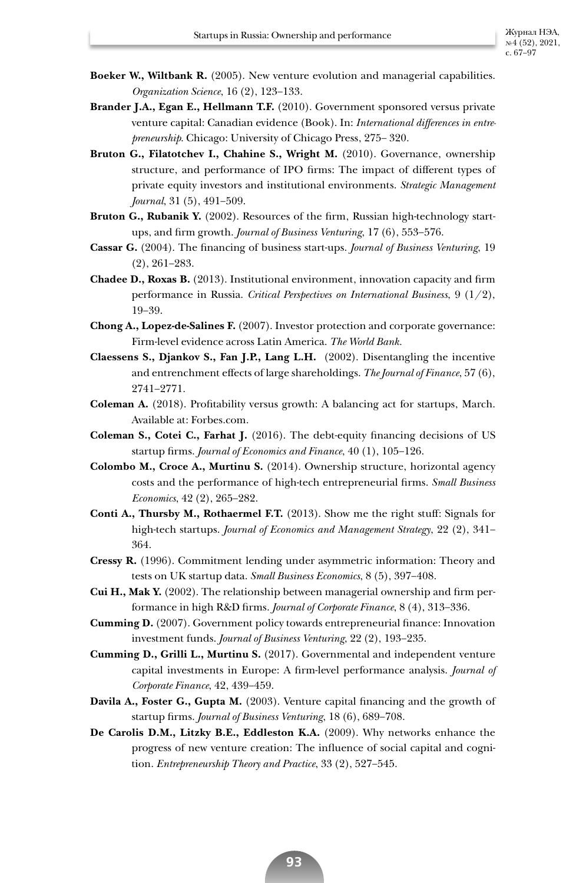- **Boeker W., Wiltbank R.** (2005). New venture evolution and managerial capabilities. *Organization Science*, 16 (2), 123–133.
- **Brander J.A., Egan E., Hellmann T.F.** (2010). Government sponsored versus private venture capital: Canadian evidence (Book). In: *International differences in entrepreneurship*. Chicago: University of Chicago Press, 275– 320.
- **Bruton G., Filatotchev I., Chahine S., Wright M.** (2010). Governance, ownership structure, and performance of IPO firms: The impact of different types of private equity investors and institutional environments. *Strategic Management Journal*, 31 (5), 491–509.
- **Bruton G., Rubanik Y.** (2002). Resources of the firm, Russian high-technology startups, and firm growth. *Journal of Business Venturing*, 17 (6), 553–576.
- **Cassar G.** (2004). The financing of business start-ups. *Journal of Business Venturing*, 19 (2), 261–283.
- **Chadee D., Roxas B.** (2013). Institutional environment, innovation capacity and firm performance in Russia. *Critical Perspectives on International Business*, 9 (1/2), 19–39.
- **Chong A., Lopez-de-Salines F.** (2007). Investor protection and corporate governance: Firm-level evidence across Latin America. *The World Bank.*
- **Claessens S., Djankov S., Fan J.P., Lang L.H.** (2002). Disentangling the incentive and entrenchment effects of large shareholdings. *The Journal of Finance*, 57 (6), 2741–2771.
- **Coleman A.** (2018). Profitability versus growth: A balancing act for startups, March. Available at: Forbes.com.
- **Coleman S., Cotei C., Farhat J.** (2016). The debt-equity financing decisions of US startup firms. *Journal of Economics and Finance*, 40 (1), 105–126.
- **Colombo M., Croce A., Murtinu S.** (2014). Ownership structure, horizontal agency costs and the performance of high-tech entrepreneurial firms. *Small Business Economics*, 42 (2), 265–282.
- **Conti A., Thursby M., Rothaermel F.T.** (2013). Show me the right stuff: Signals for high-tech startups. *Journal of Economics and Management Strategy*, 22 (2), 341– 364.
- **Cressy R.** (1996). Commitment lending under asymmetric information: Theory and tests on UK startup data. *Small Business Economics*, 8 (5), 397–408.
- **Cui H., Mak Y.** (2002). The relationship between managerial ownership and firm performance in high R&D firms. *Journal of Corporate Finance*, 8 (4), 313–336.
- **Cumming D.** (2007). Government policy towards entrepreneurial finance: Innovation investment funds. *Journal of Business Venturing*, 22 (2), 193–235.
- **Cumming D., Grilli L., Murtinu S.** (2017). Governmental and independent venture capital investments in Europe: A firm-level performance analysis. *Journal of Corporate Finance*, 42, 439–459.
- **Davila A., Foster G., Gupta M.** (2003). Venture capital financing and the growth of startup firms. *Journal of Business Venturing*, 18 (6), 689–708.
- **De Carolis D.M., Litzky B.E., Eddleston K.A.** (2009). Why networks enhance the progress of new venture creation: The influence of social capital and cognition. *Entrepreneurship Theory and Practice*, 33 (2), 527–545.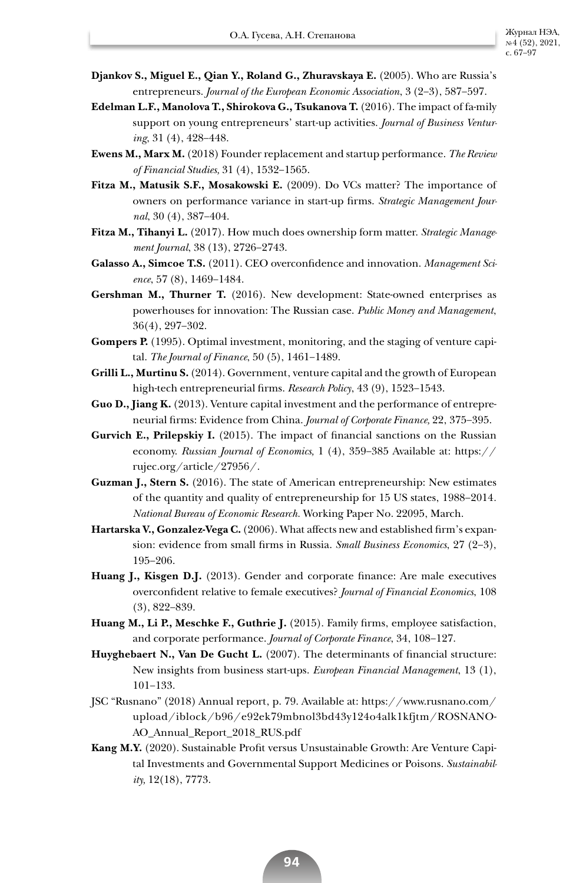- **Djankov S., Miguel E., Qian Y., Roland G., Zhuravskaya E.** (2005). Who are Russia's entrepreneurs. *Journal of the European Economic Association*, 3 (2–3), 587–597.
- **Edelman L.F., Manolova T., Shirokova G., Tsukanova T.** (2016). The impact of fa-mily support on young entrepreneurs' start-up activities. *Journal of Business Venturing*, 31 (4), 428–448.
- **Ewens M., Marx M.** (2018) Founder replacement and startup performance. *The Review of Financial Studies,* 31 (4), 1532–1565.
- **Fitza M., Matusik S.F., Mosakowski E.** (2009). Do VCs matter? The importance of owners on performance variance in start-up firms. *Strategic Management Journal*, 30 (4), 387–404.
- **Fitza M., Tihanyi L.** (2017). How much does ownership form matter. *Strategic Management Journal*, 38 (13), 2726–2743.
- **Galasso A., Simcoe T.S.** (2011). CEO overconfidence and innovation. *Management Science*, 57 (8), 1469–1484.
- **Gershman M., Thurner T.** (2016). New development: State-owned enterprises as powerhouses for innovation: The Russian case. *Public Money and Management*, 36(4), 297–302.
- **Gompers P.** (1995). Optimal investment, monitoring, and the staging of venture capital. *The Journal of Finance*, 50 (5), 1461–1489.
- **Grilli L., Murtinu S.** (2014). Government, venture capital and the growth of European high-tech entrepreneurial firms. *Research Policy*, 43 (9), 1523–1543.
- **Guo D., Jiang K.** (2013). Venture capital investment and the performance of entrepreneurial firms: Evidence from China. *Journal of Corporate Finance,* 22, 375–395.
- **Gurvich E., Prilepskiy I.** (2015). The impact of financial sanctions on the Russian economy. *Russian Journal of Economics,* 1 (4), 359–385 Available at: https:// rujec.org/article/27956/.
- **Guzman J., Stern S.** (2016). The state of American entrepreneurship: New estimates of the quantity and quality of entrepreneurship for 15 US states, 1988–2014*. National Bureau of Economic Research.* Working Paper No. 22095, March.
- **Hartarska V., Gonzalez-Vega C.** (2006). What affects new and established firm's expansion: evidence from small firms in Russia. *Small Business Economics*, 27 (2–3), 195–206.
- **Huang J., Kisgen D.J.** (2013). Gender and corporate finance: Are male executives overconfident relative to female executives? *Journal of Financial Economics*, 108 (3), 822–839.
- **Huang M., Li P., Meschke F., Guthrie J.** (2015). Family firms, employee satisfaction, and corporate performance. *Journal of Corporate Finance*, 34, 108–127.
- **Huyghebaert N., Van De Gucht L.** (2007). The determinants of financial structure: New insights from business start-ups. *European Financial Management*, 13 (1), 101–133.
- JSC "Rusnano" (2018) Annual report, p. 79. Available at: https://www.rusnano.com/ upload/iblock/b96/e92ek79mbnol3bd43y124o4alk1kfjtm/ROSNANO-AO\_Annual\_Report\_2018\_RUS.pdf
- **Kang M.Y.** (2020). Sustainable Profit versus Unsustainable Growth: Are Venture Capital Investments and Governmental Support Medicines or Poisons. *Sustainability,* 12(18), 7773.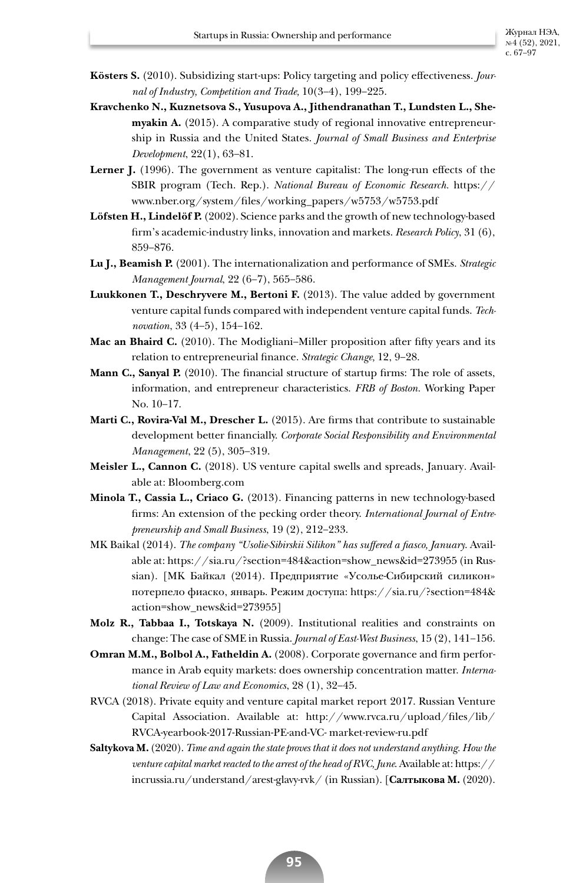- **Kösters S.** (2010). Subsidizing start-ups: Policy targeting and policy effectiveness. *Journal of Industry, Competition and Trade,* 10(3–4), 199–225.
- **Kravchenko N., Kuznetsova S., Yusupova A., Jithendranathan T., Lundsten L., Shemyakin A.** (2015). A comparative study of regional innovative entrepreneurship in Russia and the United States. *Journal of Small Business and Enterprise Development*, 22(1), 63–81.
- **Lerner J.** (1996). The government as venture capitalist: The long-run effects of the SBIR program (Tech. Rep.). *National Bureau of Economic Research.* https:// www.nber.org/system/files/working\_papers/w5753/w5753.pdf
- **Löfsten H., Lindelöf P.** (2002). Science parks and the growth of new technology-based firm's academic-industry links, innovation and markets. *Research Policy*, 31 (6), 859–876.
- **Lu J., Beamish P.** (2001). The internationalization and performance of SMEs. *Strategic Management Journal*, 22 (6–7), 565–586.
- **Luukkonen T., Deschryvere M., Bertoni F.** (2013). The value added by government venture capital funds compared with independent venture capital funds. *Technovation*, 33 (4–5), 154–162.
- **Mac an Bhaird C.** (2010). The Modigliani–Miller proposition after fifty years and its relation to entrepreneurial finance. *Strategic Change,* 12, 9–28.
- **Mann C., Sanyal P.** (2010). The financial structure of startup firms: The role of assets, information, and entrepreneur characteristics. *FRB of Boston.* Working Paper No. 10–17.
- **Marti C., Rovira-Val M., Drescher L.** (2015). Are firms that contribute to sustainable development better financially. *Corporate Social Responsibility and Environmental Management*, 22 (5), 305–319.
- **Meisler L., Cannon C.** (2018). US venture capital swells and spreads, January*.* Available at: Bloomberg.com
- **Minola T., Cassia L., Criaco G.** (2013). Financing patterns in new technology-based firms: An extension of the pecking order theory. *International Journal of Entrepreneurship and Small Business*, 19 (2), 212–233.
- MK Baikal (2014). *The company "Usolie-Sibirskii Silikon" has suffered a fiasco, January*. Available at: https://sia.ru/?section=484&action=show\_news&id=273955 (in Russian). [MK Байкал (2014). Предприятие «Усолье-Сибирский силикон» потерпело фиаско, январь. Режим доступа: https://sia.ru/?section=484& action=show\_news&id=273955]
- **Molz R., Tabbaa I., Totskaya N.** (2009). Institutional realities and constraints on change: The case of SME in Russia. *Journal of East-West Business*, 15 (2), 141–156.
- **Omran M.M., Bolbol A., Fatheldin A.** (2008). Corporate governance and firm performance in Arab equity markets: does ownership concentration matter. *International Review of Law and Economics*, 28 (1), 32–45.
- RVCA (2018). Private equity and venture capital market report 2017. Russian Venture Capital Association. Available at: http://www.rvca.ru/upload/files/lib/ RVCA-yearbook-2017-Russian-PE-and-VC- market-review-ru.pdf
- **Saltykova M.** (2020). *Time and again the state proves that it does not understand anything. How the venture capital market reacted to the arrest of the head of RVC, June*. Available at: https:// incrussia.ru/understand/arest-glavy-rvk/ (in Russian). [**Салтыкова М.** (2020).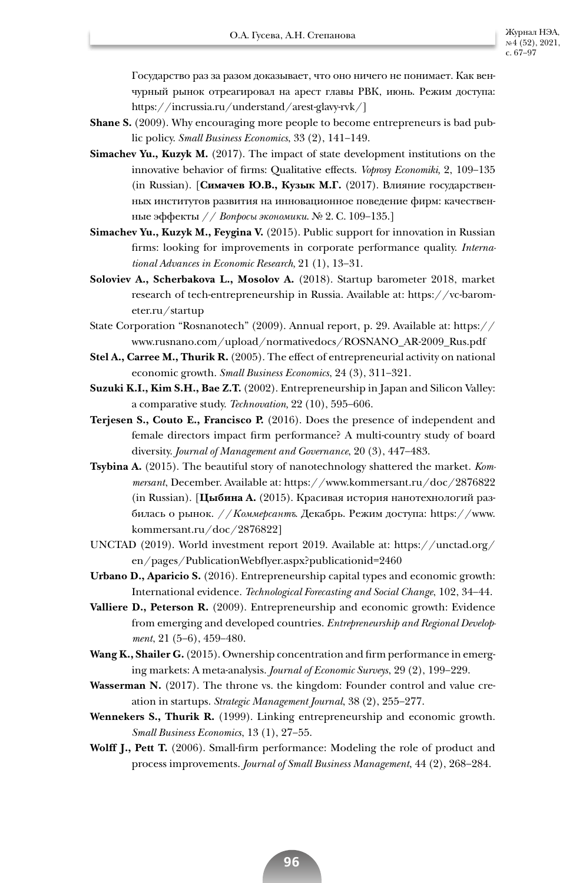Государство раз за разом доказывает, что оно ничего не понимает. Как венчурный рынок отреагировал на арест главы РВК, июнь. Режим доступа: https://incrussia.ru/understand/arest-glavy-rvk/]

- **Shane S.** (2009). Why encouraging more people to become entrepreneurs is bad public policy. *Small Business Economics*, 33 (2), 141–149.
- **Simachev Yu., Kuzyk M.** (2017). The impact of state development institutions on the innovative behavior of firms: Qualitative effects. *Voprosy Economiki,* 2, 109–135 (in Russian). [**Симачев Ю.В., Кузык М.Г.** (2017). Влияние государственных институтов развития на инновационное поведение фирм: качественные эффекты // *Вопросы экономики*. № 2. С. 109–135.]
- **Simachev Yu., Kuzyk M., Feygina V.** (2015). Public support for innovation in Russian firms: looking for improvements in corporate performance quality. *International Advances in Economic Research,* 21 (1), 13–31.
- **Soloviev A., Scherbakova L., Mosolov A.** (2018). Startup barometer 2018, market research of tech-entrepreneurship in Russia. Available at: https://vc-barometer.ru/startup
- State Corporation "Rosnanotech" (2009). Annual report, p. 29. Available at: https:// www.rusnano.com/upload/normativedocs/ROSNANO\_AR-2009\_Rus.pdf
- **Stel A., Carree M., Thurik R.** (2005). The effect of entrepreneurial activity on national economic growth. *Small Business Economics*, 24 (3), 311–321.
- **Suzuki K.I., Kim S.H., Bae Z.T.** (2002). Entrepreneurship in Japan and Silicon Valley: a comparative study. *Technovation,* 22 (10), 595–606.
- **Terjesen S., Couto E., Francisco P.** (2016). Does the presence of independent and female directors impact firm performance? A multi-country study of board diversity. *Journal of Management and Governance*, 20 (3), 447–483.
- **Tsybina A.** (2015). The beautiful story of nanotechnology shattered the market. *Kommersant*, December. Available at: https://www.kommersant.ru/doc/2876822 (in Russian). [**Цыбина A.** (2015). Красивая история нанотехнологий разбилась о рынок. //*Коммерсантъ*. Декабрь. Режим доступа: https://www. kommersant.ru/doc/2876822]
- UNCTAD (2019). World investment report 2019. Available at: https://unctad.org/ en/pages/PublicationWebflyer.aspx?publicationid=2460
- **Urbano D., Aparicio S.** (2016). Entrepreneurship capital types and economic growth: International evidence. *Technological Forecasting and Social Change*, 102, 34–44.
- **Valliere D., Peterson R.** (2009). Entrepreneurship and economic growth: Evidence from emerging and developed countries. *Entrepreneurship and Regional Development*, 21 (5–6), 459–480.
- **Wang K., Shailer G.** (2015). Ownership concentration and firm performance in emerging markets: A meta-analysis. *Journal of Economic Surveys*, 29 (2), 199–229.
- **Wasserman N.** (2017). The throne vs. the kingdom: Founder control and value creation in startups. *Strategic Management Journal*, 38 (2), 255–277.
- **Wennekers S., Thurik R.** (1999). Linking entrepreneurship and economic growth. *Small Business Economics*, 13 (1), 27–55.
- **Wolff J., Pett T.** (2006). Small-firm performance: Modeling the role of product and process improvements. *Journal of Small Business Management*, 44 (2), 268–284.